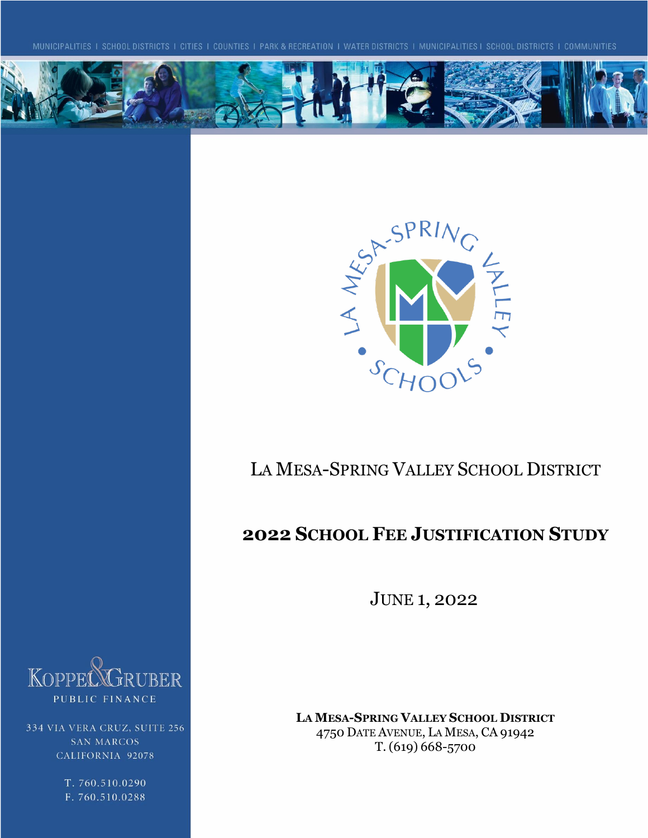



# LA MESA-SPRING VALLEY SCHOOL DISTRICT

## **2022 SCHOOL FEE JUSTIFICATION STUDY**

JUNE 1, 2022

**LA MESA-SPRING VALLEY SCHOOL DISTRICT** 4750 DATE AVENUE, LA MESA, CA 91942 T. (619) 668-5700



334 VIA VERA CRUZ, SUITE 256 **SAN MARCOS** CALIFORNIA 92078

> T. 760.510.0290 F. 760.510.0288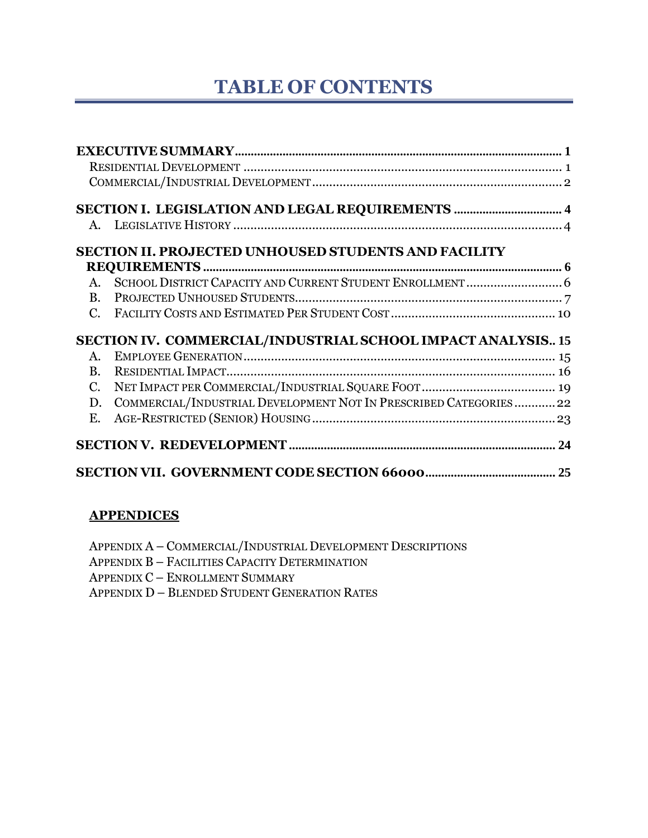# **TABLE OF CONTENTS**

|              | SECTION I. LEGISLATION AND LEGAL REQUIREMENTS  4                  |  |
|--------------|-------------------------------------------------------------------|--|
|              |                                                                   |  |
|              | <b>SECTION II. PROJECTED UNHOUSED STUDENTS AND FACILITY</b>       |  |
|              |                                                                   |  |
|              |                                                                   |  |
|              |                                                                   |  |
|              |                                                                   |  |
|              | SECTION IV. COMMERCIAL/INDUSTRIAL SCHOOL IMPACT ANALYSIS 15       |  |
| $A_{\cdot}$  |                                                                   |  |
| $\mathbf{B}$ |                                                                   |  |
| $C_{\cdot}$  |                                                                   |  |
| D.           | COMMERCIAL/INDUSTRIAL DEVELOPMENT NOT IN PRESCRIBED CATEGORIES 22 |  |
| Ε.           |                                                                   |  |
|              |                                                                   |  |
|              |                                                                   |  |

#### **APPENDICES**

APPENDIX A – COMMERCIAL/INDUSTRIAL DEVELOPMENT DESCRIPTIONS APPENDIX B – FACILITIES CAPACITY DETERMINATION APPENDIX C – ENROLLMENT SUMMARY APPENDIX D – BLENDED STUDENT GENERATION RATES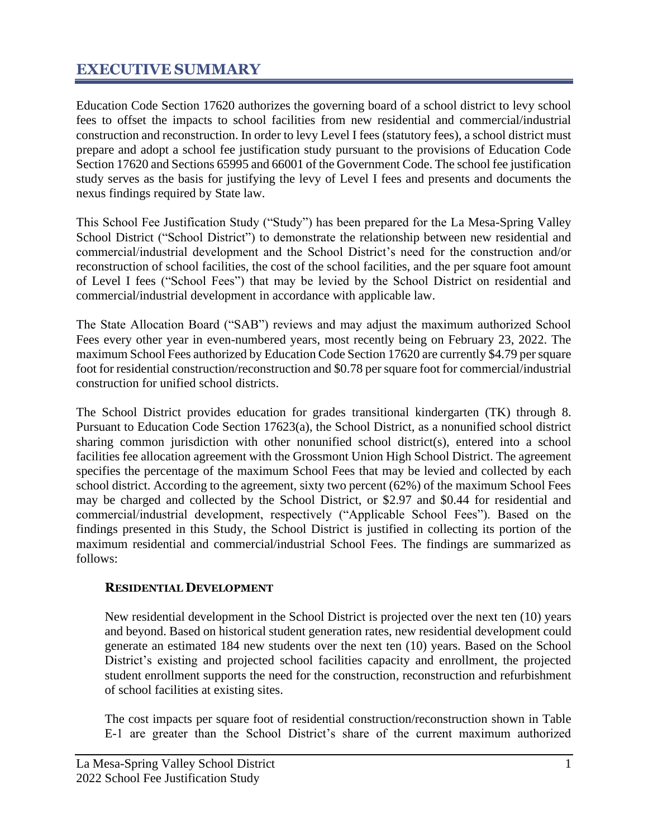## <span id="page-2-0"></span>**EXECUTIVE SUMMARY**

Education Code Section 17620 authorizes the governing board of a school district to levy school fees to offset the impacts to school facilities from new residential and commercial/industrial construction and reconstruction. In order to levy Level I fees (statutory fees), a school district must prepare and adopt a school fee justification study pursuant to the provisions of Education Code Section 17620 and Sections 65995 and 66001 of the Government Code. The school fee justification study serves as the basis for justifying the levy of Level I fees and presents and documents the nexus findings required by State law.

This School Fee Justification Study ("Study") has been prepared for the La Mesa-Spring Valley School District ("School District") to demonstrate the relationship between new residential and commercial/industrial development and the School District's need for the construction and/or reconstruction of school facilities, the cost of the school facilities, and the per square foot amount of Level I fees ("School Fees") that may be levied by the School District on residential and commercial/industrial development in accordance with applicable law.

The State Allocation Board ("SAB") reviews and may adjust the maximum authorized School Fees every other year in even-numbered years, most recently being on February 23, 2022. The maximum School Fees authorized by Education Code Section 17620 are currently \$4.79 per square foot for residential construction/reconstruction and \$0.78 per square foot for commercial/industrial construction for unified school districts.

The School District provides education for grades transitional kindergarten (TK) through 8. Pursuant to Education Code Section 17623(a), the School District, as a nonunified school district sharing common jurisdiction with other nonunified school district(s), entered into a school facilities fee allocation agreement with the Grossmont Union High School District. The agreement specifies the percentage of the maximum School Fees that may be levied and collected by each school district. According to the agreement, sixty two percent (62%) of the maximum School Fees may be charged and collected by the School District, or \$2.97 and \$0.44 for residential and commercial/industrial development, respectively ("Applicable School Fees"). Based on the findings presented in this Study, the School District is justified in collecting its portion of the maximum residential and commercial/industrial School Fees. The findings are summarized as follows:

#### <span id="page-2-1"></span>**RESIDENTIAL DEVELOPMENT**

New residential development in the School District is projected over the next ten (10) years and beyond. Based on historical student generation rates, new residential development could generate an estimated 184 new students over the next ten (10) years. Based on the School District's existing and projected school facilities capacity and enrollment, the projected student enrollment supports the need for the construction, reconstruction and refurbishment of school facilities at existing sites.

The cost impacts per square foot of residential construction/reconstruction shown in Table E-1 are greater than the School District's share of the current maximum authorized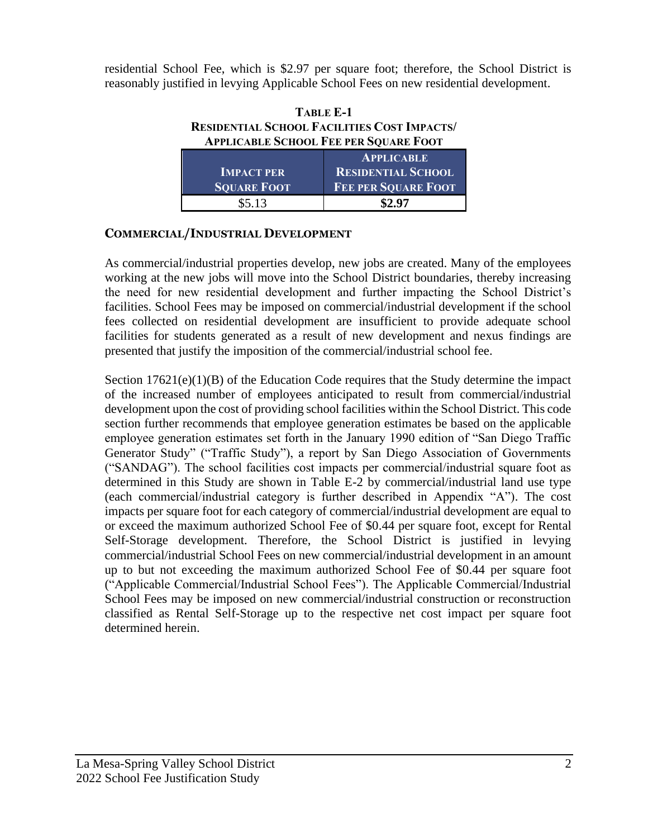residential School Fee, which is \$2.97 per square foot; therefore, the School District is reasonably justified in levying Applicable School Fees on new residential development.

| <b>TABLE E-1</b>                                   |  |  |  |
|----------------------------------------------------|--|--|--|
| <b>RESIDENTIAL SCHOOL FACILITIES COST IMPACTS/</b> |  |  |  |
| <b>APPLICABLE SCHOOL FEE PER SQUARE FOOT</b>       |  |  |  |
|                                                    |  |  |  |

|                    | <b>APPLICABLE</b>          |
|--------------------|----------------------------|
| <b>IMPACT PER</b>  | <b>RESIDENTIAL SCHOOL</b>  |
| <b>SQUARE FOOT</b> | <b>FEE PER SQUARE FOOT</b> |
| \$5.13             | \$2.97                     |

#### <span id="page-3-0"></span>**COMMERCIAL/INDUSTRIAL DEVELOPMENT**

As commercial/industrial properties develop, new jobs are created. Many of the employees working at the new jobs will move into the School District boundaries, thereby increasing the need for new residential development and further impacting the School District's facilities. School Fees may be imposed on commercial/industrial development if the school fees collected on residential development are insufficient to provide adequate school facilities for students generated as a result of new development and nexus findings are presented that justify the imposition of the commercial/industrial school fee.

Section  $17621(e)(1)(B)$  of the Education Code requires that the Study determine the impact of the increased number of employees anticipated to result from commercial/industrial development upon the cost of providing school facilities within the School District. This code section further recommends that employee generation estimates be based on the applicable employee generation estimates set forth in the January 1990 edition of "San Diego Traffic Generator Study" ("Traffic Study"), a report by San Diego Association of Governments ("SANDAG"). The school facilities cost impacts per commercial/industrial square foot as determined in this Study are shown in Table E-2 by commercial/industrial land use type (each commercial/industrial category is further described in Appendix "A"). The cost impacts per square foot for each category of commercial/industrial development are equal to or exceed the maximum authorized School Fee of \$0.44 per square foot, except for Rental Self-Storage development. Therefore, the School District is justified in levying commercial/industrial School Fees on new commercial/industrial development in an amount up to but not exceeding the maximum authorized School Fee of \$0.44 per square foot ("Applicable Commercial/Industrial School Fees"). The Applicable Commercial/Industrial School Fees may be imposed on new commercial/industrial construction or reconstruction classified as Rental Self-Storage up to the respective net cost impact per square foot determined herein.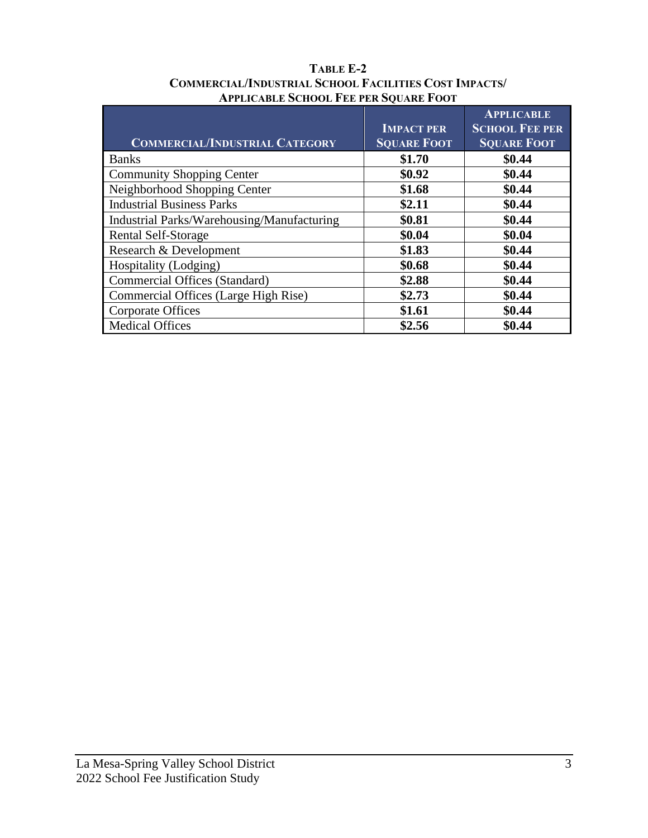| <b>COMMERCIAL/INDUSTRIAL CATEGORY</b>      | <b>IMPACT PER</b><br><b>SQUARE FOOT</b> | <b>APPLICABLE</b><br><b>SCHOOL FEE PER</b><br><b>SQUARE FOOT</b> |
|--------------------------------------------|-----------------------------------------|------------------------------------------------------------------|
| <b>Banks</b>                               | \$1.70                                  | \$0.44                                                           |
| <b>Community Shopping Center</b>           | \$0.92                                  | \$0.44                                                           |
| Neighborhood Shopping Center               | \$1.68                                  | \$0.44                                                           |
| <b>Industrial Business Parks</b>           | \$2.11                                  | \$0.44                                                           |
| Industrial Parks/Warehousing/Manufacturing | \$0.81                                  | \$0.44                                                           |
| <b>Rental Self-Storage</b>                 | \$0.04                                  | \$0.04                                                           |
| Research & Development                     | \$1.83                                  | \$0.44                                                           |
| Hospitality (Lodging)                      | \$0.68                                  | \$0.44                                                           |
| Commercial Offices (Standard)              | \$2.88                                  | \$0.44                                                           |
| Commercial Offices (Large High Rise)       | \$2.73                                  | \$0.44                                                           |
| Corporate Offices                          | \$1.61                                  | \$0.44                                                           |
| <b>Medical Offices</b>                     | \$2.56                                  | \$0.44                                                           |

#### **TABLE E-2 COMMERCIAL/INDUSTRIAL SCHOOL FACILITIES COST IMPACTS/ APPLICABLE SCHOOL FEE PER SQUARE FOOT**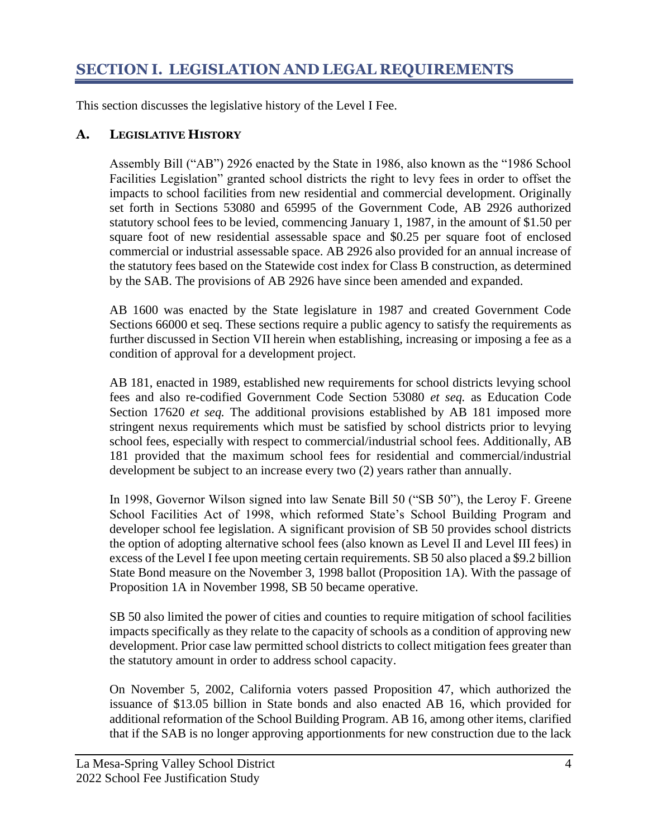## <span id="page-5-0"></span>**SECTION I. LEGISLATION AND LEGAL REQUIREMENTS**

This section discusses the legislative history of the Level I Fee.

#### <span id="page-5-1"></span>**A. LEGISLATIVE HISTORY**

Assembly Bill ("AB") 2926 enacted by the State in 1986, also known as the "1986 School Facilities Legislation" granted school districts the right to levy fees in order to offset the impacts to school facilities from new residential and commercial development. Originally set forth in Sections 53080 and 65995 of the Government Code, AB 2926 authorized statutory school fees to be levied, commencing January 1, 1987, in the amount of \$1.50 per square foot of new residential assessable space and \$0.25 per square foot of enclosed commercial or industrial assessable space. AB 2926 also provided for an annual increase of the statutory fees based on the Statewide cost index for Class B construction, as determined by the SAB. The provisions of AB 2926 have since been amended and expanded.

AB 1600 was enacted by the State legislature in 1987 and created Government Code Sections 66000 et seq. These sections require a public agency to satisfy the requirements as further discussed in Section VII herein when establishing, increasing or imposing a fee as a condition of approval for a development project.

AB 181, enacted in 1989, established new requirements for school districts levying school fees and also re-codified Government Code Section 53080 *et seq.* as Education Code Section 17620 *et seq.* The additional provisions established by AB 181 imposed more stringent nexus requirements which must be satisfied by school districts prior to levying school fees, especially with respect to commercial/industrial school fees. Additionally, AB 181 provided that the maximum school fees for residential and commercial/industrial development be subject to an increase every two (2) years rather than annually.

In 1998, Governor Wilson signed into law Senate Bill 50 ("SB 50"), the Leroy F. Greene School Facilities Act of 1998, which reformed State's School Building Program and developer school fee legislation. A significant provision of SB 50 provides school districts the option of adopting alternative school fees (also known as Level II and Level III fees) in excess of the Level I fee upon meeting certain requirements. SB 50 also placed a \$9.2 billion State Bond measure on the November 3, 1998 ballot (Proposition 1A). With the passage of Proposition 1A in November 1998, SB 50 became operative.

SB 50 also limited the power of cities and counties to require mitigation of school facilities impacts specifically as they relate to the capacity of schools as a condition of approving new development. Prior case law permitted school districts to collect mitigation fees greater than the statutory amount in order to address school capacity.

On November 5, 2002, California voters passed Proposition 47, which authorized the issuance of \$13.05 billion in State bonds and also enacted AB 16, which provided for additional reformation of the School Building Program. AB 16, among other items, clarified that if the SAB is no longer approving apportionments for new construction due to the lack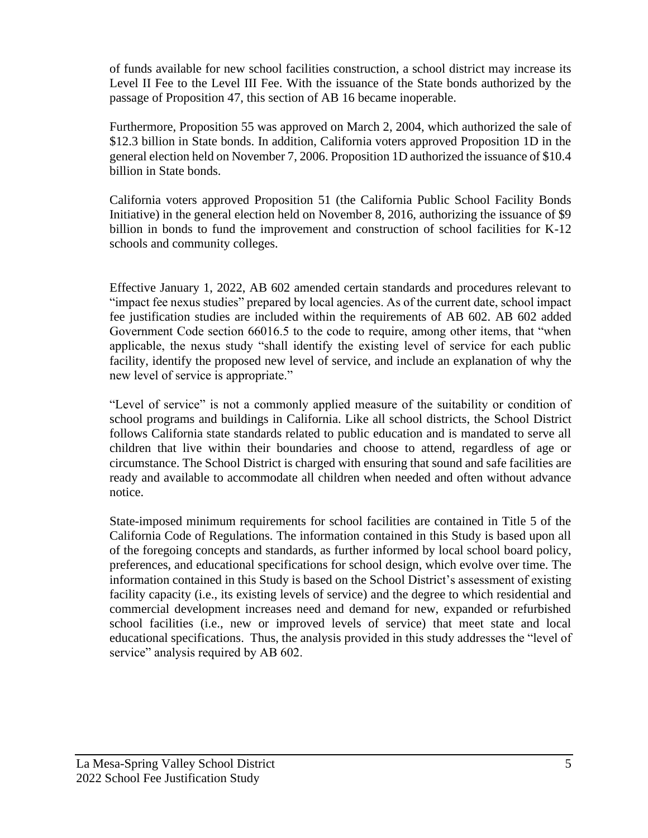of funds available for new school facilities construction, a school district may increase its Level II Fee to the Level III Fee. With the issuance of the State bonds authorized by the passage of Proposition 47, this section of AB 16 became inoperable.

Furthermore, Proposition 55 was approved on March 2, 2004, which authorized the sale of \$12.3 billion in State bonds. In addition, California voters approved Proposition 1D in the general election held on November 7, 2006. Proposition 1D authorized the issuance of \$10.4 billion in State bonds.

California voters approved Proposition 51 (the California Public School Facility Bonds Initiative) in the general election held on November 8, 2016, authorizing the issuance of \$9 billion in bonds to fund the improvement and construction of school facilities for K-12 schools and community colleges.

Effective January 1, 2022, AB 602 amended certain standards and procedures relevant to "impact fee nexus studies" prepared by local agencies. As of the current date, school impact fee justification studies are included within the requirements of AB 602. AB 602 added Government Code section 66016.5 to the code to require, among other items, that "when applicable, the nexus study "shall identify the existing level of service for each public facility, identify the proposed new level of service, and include an explanation of why the new level of service is appropriate."

"Level of service" is not a commonly applied measure of the suitability or condition of school programs and buildings in California. Like all school districts, the School District follows California state standards related to public education and is mandated to serve all children that live within their boundaries and choose to attend, regardless of age or circumstance. The School District is charged with ensuring that sound and safe facilities are ready and available to accommodate all children when needed and often without advance notice.

State-imposed minimum requirements for school facilities are contained in Title 5 of the California Code of Regulations. The information contained in this Study is based upon all of the foregoing concepts and standards, as further informed by local school board policy, preferences, and educational specifications for school design, which evolve over time. The information contained in this Study is based on the School District's assessment of existing facility capacity (i.e., its existing levels of service) and the degree to which residential and commercial development increases need and demand for new, expanded or refurbished school facilities (i.e., new or improved levels of service) that meet state and local educational specifications. Thus, the analysis provided in this study addresses the "level of service" analysis required by AB 602.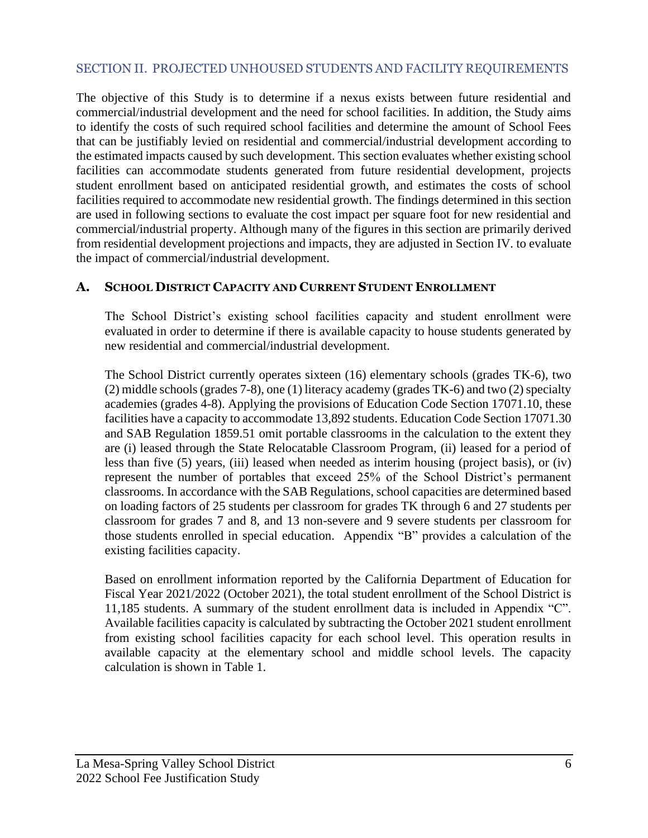#### <span id="page-7-0"></span>SECTION II. PROJECTED UNHOUSED STUDENTS AND FACILITY REQUIREMENTS

The objective of this Study is to determine if a nexus exists between future residential and commercial/industrial development and the need for school facilities. In addition, the Study aims to identify the costs of such required school facilities and determine the amount of School Fees that can be justifiably levied on residential and commercial/industrial development according to the estimated impacts caused by such development. This section evaluates whether existing school facilities can accommodate students generated from future residential development, projects student enrollment based on anticipated residential growth, and estimates the costs of school facilities required to accommodate new residential growth. The findings determined in this section are used in following sections to evaluate the cost impact per square foot for new residential and commercial/industrial property. Although many of the figures in this section are primarily derived from residential development projections and impacts, they are adjusted in Section IV. to evaluate the impact of commercial/industrial development.

#### <span id="page-7-1"></span>**A. SCHOOL DISTRICT CAPACITY AND CURRENT STUDENT ENROLLMENT**

The School District's existing school facilities capacity and student enrollment were evaluated in order to determine if there is available capacity to house students generated by new residential and commercial/industrial development.

The School District currently operates sixteen (16) elementary schools (grades TK-6), two (2) middle schools(grades 7-8), one (1) literacy academy (grades TK-6) and two (2) specialty academies (grades 4-8). Applying the provisions of Education Code Section 17071.10, these facilities have a capacity to accommodate 13,892 students. Education Code Section 17071.30 and SAB Regulation 1859.51 omit portable classrooms in the calculation to the extent they are (i) leased through the State Relocatable Classroom Program, (ii) leased for a period of less than five (5) years, (iii) leased when needed as interim housing (project basis), or (iv) represent the number of portables that exceed 25% of the School District's permanent classrooms. In accordance with the SAB Regulations, school capacities are determined based on loading factors of 25 students per classroom for grades TK through 6 and 27 students per classroom for grades 7 and 8, and 13 non-severe and 9 severe students per classroom for those students enrolled in special education. Appendix "B" provides a calculation of the existing facilities capacity.

Based on enrollment information reported by the California Department of Education for Fiscal Year 2021/2022 (October 2021), the total student enrollment of the School District is 11,185 students. A summary of the student enrollment data is included in Appendix "C". Available facilities capacity is calculated by subtracting the October 2021 student enrollment from existing school facilities capacity for each school level. This operation results in available capacity at the elementary school and middle school levels. The capacity calculation is shown in Table 1.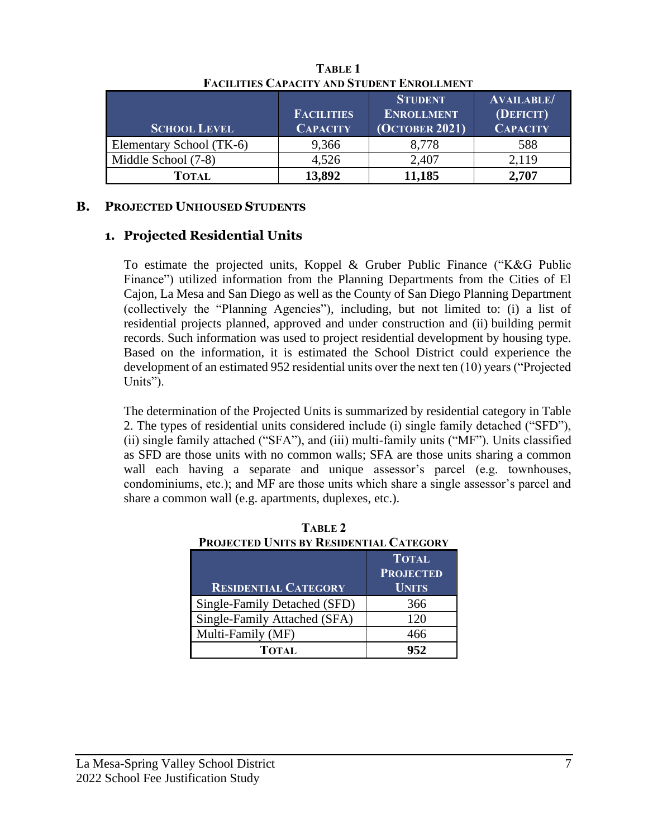|                          | <b>FACILITIES</b> | <b>STUDENT</b><br><b>ENROLLMENT</b> | <b>AVAILABLE/</b><br>(DEFICIT) |
|--------------------------|-------------------|-------------------------------------|--------------------------------|
| <b>SCHOOL LEVEL</b>      | <b>CAPACITY</b>   | <b>(OCTOBER 2021)</b>               | <b>CAPACITY</b>                |
| Elementary School (TK-6) | 9,366             | 8.778                               | 588                            |
| Middle School (7-8)      | 4,526             | 2,407                               | 2,119                          |
| Тотаі.                   | 13.892            | 11,185                              | 2.707                          |

**TABLE 1 FACILITIES CAPACITY AND STUDENT ENROLLMENT**

#### <span id="page-8-0"></span>**B. PROJECTED UNHOUSED STUDENTS**

#### **1. Projected Residential Units**

To estimate the projected units, Koppel & Gruber Public Finance ("K&G Public Finance") utilized information from the Planning Departments from the Cities of El Cajon, La Mesa and San Diego as well as the County of San Diego Planning Department (collectively the "Planning Agencies"), including, but not limited to: (i) a list of residential projects planned, approved and under construction and (ii) building permit records. Such information was used to project residential development by housing type. Based on the information, it is estimated the School District could experience the development of an estimated 952 residential units over the next ten (10) years ("Projected Units").

The determination of the Projected Units is summarized by residential category in Table 2. The types of residential units considered include (i) single family detached ("SFD"), (ii) single family attached ("SFA"), and (iii) multi-family units ("MF"). Units classified as SFD are those units with no common walls; SFA are those units sharing a common wall each having a separate and unique assessor's parcel (e.g. townhouses, condominiums, etc.); and MF are those units which share a single assessor's parcel and share a common wall (e.g. apartments, duplexes, etc.).

| <b>PROJECTED UNITS BY RESIDENTIAL CATEGORY</b> |                  |  |  |
|------------------------------------------------|------------------|--|--|
|                                                | <b>TOTAL</b>     |  |  |
|                                                | <b>PROJECTED</b> |  |  |
| <b>RESIDENTIAL CATEGORY</b>                    | <b>UNITS</b>     |  |  |
| Single-Family Detached (SFD)                   | 366              |  |  |
| Single-Family Attached (SFA)                   | 120              |  |  |
| Multi-Family (MF)                              | 466              |  |  |
| TOTAL                                          | 952              |  |  |

**TABLE 2 PROJECTED UNITS BY RESIDENTIAL CATEGORY**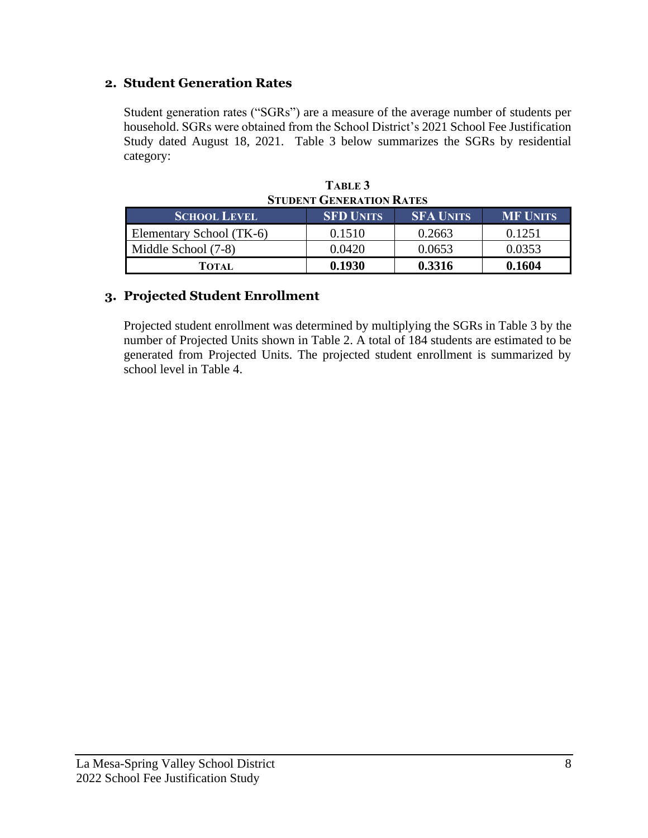#### **2. Student Generation Rates**

Student generation rates ("SGRs") are a measure of the average number of students per household. SGRs were obtained from the School District's 2021 School Fee Justification Study dated August 18, 2021. Table 3 below summarizes the SGRs by residential category:

| <b>STUDENT GENERATION RATES</b> |                  |                  |                 |  |  |
|---------------------------------|------------------|------------------|-----------------|--|--|
| <b>SCHOOL LEVEL</b>             | <b>SFD UNITS</b> | <b>SFA UNITS</b> | <b>MF UNITS</b> |  |  |
| Elementary School (TK-6)        | 0.1510           | 0.2663           | 0.1251          |  |  |
| Middle School (7-8)             | 0.0420           | 0.0653           | 0.0353          |  |  |
| TOTAL                           | 0.1930           | 0.3316           | 0.1604          |  |  |

**TABLE 3 STUDENT GENERATION RATES**

### **3. Projected Student Enrollment**

Projected student enrollment was determined by multiplying the SGRs in Table 3 by the number of Projected Units shown in Table 2. A total of 184 students are estimated to be generated from Projected Units. The projected student enrollment is summarized by school level in Table 4.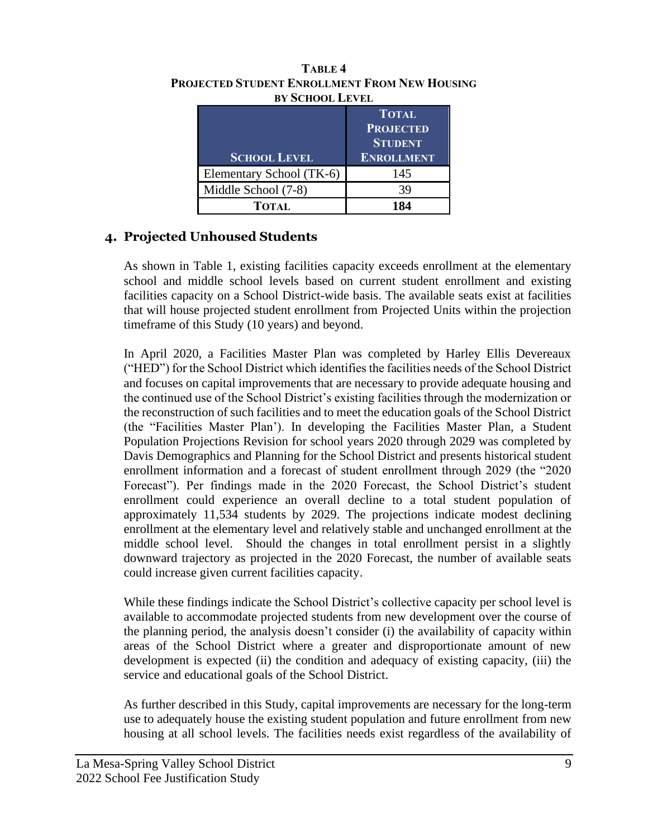| <b>SCHOOL LEVEL</b>      | <b>TOTAL</b><br><b>PROJECTED</b><br><b>STUDENT</b><br><b>ENROLLMENT</b> |
|--------------------------|-------------------------------------------------------------------------|
| Elementary School (TK-6) | 145                                                                     |
| Middle School (7-8)      | 39                                                                      |
| <b>TOTAL</b>             |                                                                         |

#### **TABLE 4 PROJECTED STUDENT ENROLLMENT FROM NEW HOUSING BY SCHOOL LEVEL**

### **4. Projected Unhoused Students**

As shown in Table 1, existing facilities capacity exceeds enrollment at the elementary school and middle school levels based on current student enrollment and existing facilities capacity on a School District-wide basis. The available seats exist at facilities that will house projected student enrollment from Projected Units within the projection timeframe of this Study (10 years) and beyond.

In April 2020, a Facilities Master Plan was completed by Harley Ellis Devereaux ("HED") for the School District which identifies the facilities needs of the School District and focuses on capital improvements that are necessary to provide adequate housing and the continued use of the School District's existing facilities through the modernization or the reconstruction of such facilities and to meet the education goals of the School District (the "Facilities Master Plan'). In developing the Facilities Master Plan, a Student Population Projections Revision for school years 2020 through 2029 was completed by Davis Demographics and Planning for the School District and presents historical student enrollment information and a forecast of student enrollment through 2029 (the "2020 Forecast"). Per findings made in the 2020 Forecast, the School District's student enrollment could experience an overall decline to a total student population of approximately 11,534 students by 2029. The projections indicate modest declining enrollment at the elementary level and relatively stable and unchanged enrollment at the middle school level. Should the changes in total enrollment persist in a slightly downward trajectory as projected in the 2020 Forecast, the number of available seats could increase given current facilities capacity.

While these findings indicate the School District's collective capacity per school level is available to accommodate projected students from new development over the course of the planning period, the analysis doesn't consider (i) the availability of capacity within areas of the School District where a greater and disproportionate amount of new development is expected (ii) the condition and adequacy of existing capacity, (iii) the service and educational goals of the School District.

As further described in this Study, capital improvements are necessary for the long-term use to adequately house the existing student population and future enrollment from new housing at all school levels. The facilities needs exist regardless of the availability of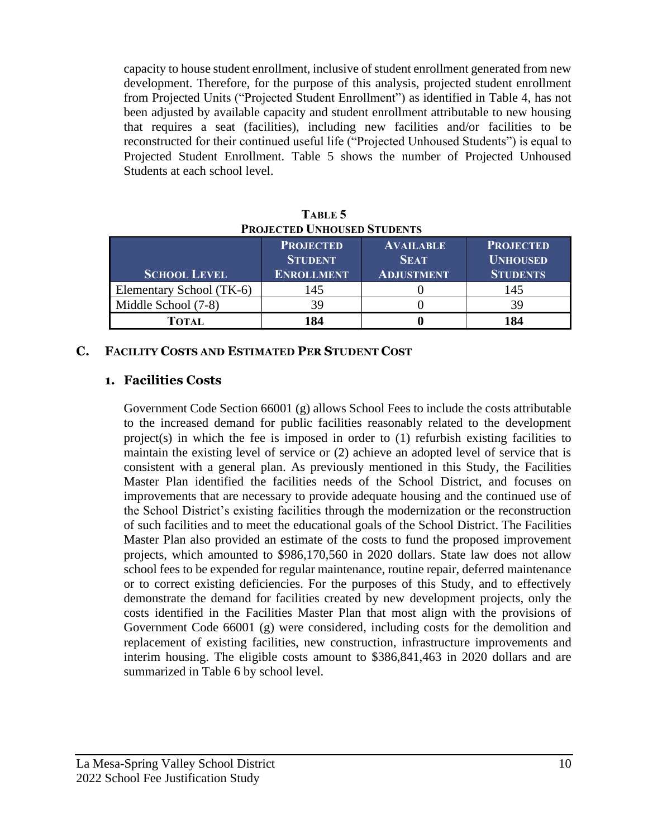capacity to house student enrollment, inclusive of student enrollment generated from new development. Therefore, for the purpose of this analysis, projected student enrollment from Projected Units ("Projected Student Enrollment") as identified in Table 4, has not been adjusted by available capacity and student enrollment attributable to new housing that requires a seat (facilities), including new facilities and/or facilities to be reconstructed for their continued useful life ("Projected Unhoused Students") is equal to Projected Student Enrollment. Table 5 shows the number of Projected Unhoused Students at each school level.

| T ROJECTED UNITOUSED STUDENTS |                                                         |                                                      |                                                        |  |
|-------------------------------|---------------------------------------------------------|------------------------------------------------------|--------------------------------------------------------|--|
| <b>SCHOOL LEVEL</b>           | <b>PROJECTED</b><br><b>STUDENT</b><br><b>ENROLLMENT</b> | <b>AVAILABLE</b><br><b>SEAT</b><br><b>ADJUSTMENT</b> | <b>PROJECTED</b><br><b>UNHOUSED</b><br><b>STUDENTS</b> |  |
| Elementary School (TK-6)      | 145                                                     |                                                      | 145                                                    |  |
| Middle School (7-8)           | 39                                                      |                                                      | 39                                                     |  |
| TOTAL                         | 184                                                     |                                                      | 184                                                    |  |

**TABLE 5 PROJECTED UNHOUSED STUDENTS**

#### <span id="page-11-0"></span>**C. FACILITY COSTS AND ESTIMATED PER STUDENT COST**

#### **1. Facilities Costs**

Government Code Section 66001 (g) allows School Fees to include the costs attributable to the increased demand for public facilities reasonably related to the development project(s) in which the fee is imposed in order to (1) refurbish existing facilities to maintain the existing level of service or (2) achieve an adopted level of service that is consistent with a general plan. As previously mentioned in this Study, the Facilities Master Plan identified the facilities needs of the School District, and focuses on improvements that are necessary to provide adequate housing and the continued use of the School District's existing facilities through the modernization or the reconstruction of such facilities and to meet the educational goals of the School District. The Facilities Master Plan also provided an estimate of the costs to fund the proposed improvement projects, which amounted to \$986,170,560 in 2020 dollars. State law does not allow school fees to be expended for regular maintenance, routine repair, deferred maintenance or to correct existing deficiencies. For the purposes of this Study, and to effectively demonstrate the demand for facilities created by new development projects, only the costs identified in the Facilities Master Plan that most align with the provisions of Government Code 66001 (g) were considered, including costs for the demolition and replacement of existing facilities, new construction, infrastructure improvements and interim housing. The eligible costs amount to \$386,841,463 in 2020 dollars and are summarized in Table 6 by school level.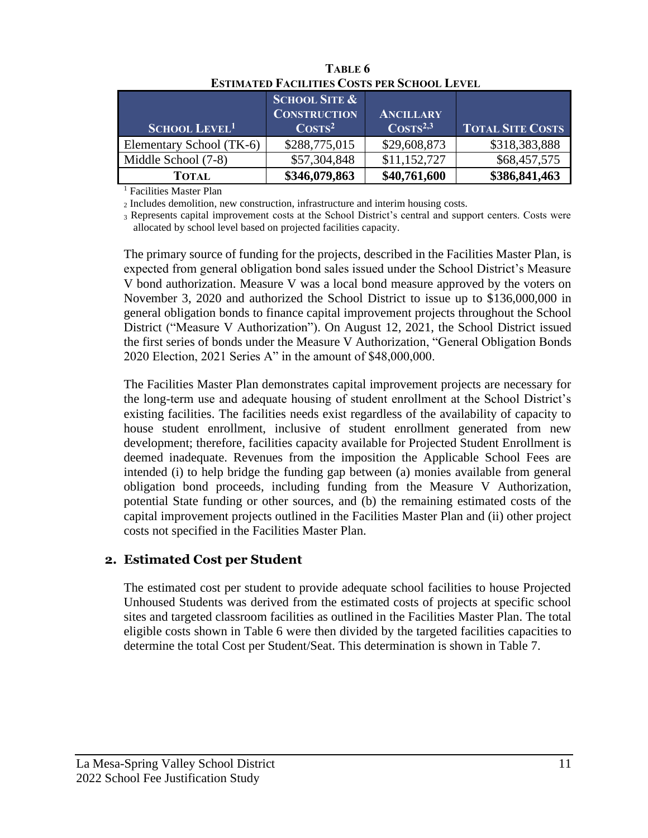|                                 | <b>SCHOOL SITE &amp;</b><br><b>CONSTRUCTION</b> | <b>ANCILLARY</b>     |                         |  |  |
|---------------------------------|-------------------------------------------------|----------------------|-------------------------|--|--|
| <b>SCHOOL LEVEL<sup>1</sup></b> | $\mathrm{Cos}\mathrm{T}\mathrm{s}^2$            | $\text{COSTS}^{2,3}$ | <b>TOTAL SITE COSTS</b> |  |  |
| Elementary School (TK-6)        | \$288,775,015                                   | \$29,608,873         | \$318,383,888           |  |  |
| Middle School (7-8)             | \$57,304,848                                    | \$11,152,727         | \$68,457,575            |  |  |
| <b>TOTAL</b>                    | \$346,079,863                                   | \$40,761,600         | \$386,841,463           |  |  |

**TABLE 6 ESTIMATED FACILITIES COSTS PER SCHOOL LEVEL<sup>1</sup>**

<sup>1</sup> Facilities Master Plan

<sup>2</sup> Includes demolition, new construction, infrastructure and interim housing costs.

<sup>3</sup> Represents capital improvement costs at the School District's central and support centers. Costs were allocated by school level based on projected facilities capacity.

The primary source of funding for the projects, described in the Facilities Master Plan, is expected from general obligation bond sales issued under the School District's Measure V bond authorization. Measure V was a local bond measure approved by the voters on November 3, 2020 and authorized the School District to issue up to \$136,000,000 in general obligation bonds to finance capital improvement projects throughout the School District ("Measure V Authorization"). On August 12, 2021, the School District issued the first series of bonds under the Measure V Authorization, "General Obligation Bonds 2020 Election, 2021 Series A" in the amount of \$48,000,000.

The Facilities Master Plan demonstrates capital improvement projects are necessary for the long-term use and adequate housing of student enrollment at the School District's existing facilities. The facilities needs exist regardless of the availability of capacity to house student enrollment, inclusive of student enrollment generated from new development; therefore, facilities capacity available for Projected Student Enrollment is deemed inadequate. Revenues from the imposition the Applicable School Fees are intended (i) to help bridge the funding gap between (a) monies available from general obligation bond proceeds, including funding from the Measure V Authorization, potential State funding or other sources, and (b) the remaining estimated costs of the capital improvement projects outlined in the Facilities Master Plan and (ii) other project costs not specified in the Facilities Master Plan.

#### **2. Estimated Cost per Student**

The estimated cost per student to provide adequate school facilities to house Projected Unhoused Students was derived from the estimated costs of projects at specific school sites and targeted classroom facilities as outlined in the Facilities Master Plan. The total eligible costs shown in Table 6 were then divided by the targeted facilities capacities to determine the total Cost per Student/Seat. This determination is shown in Table 7.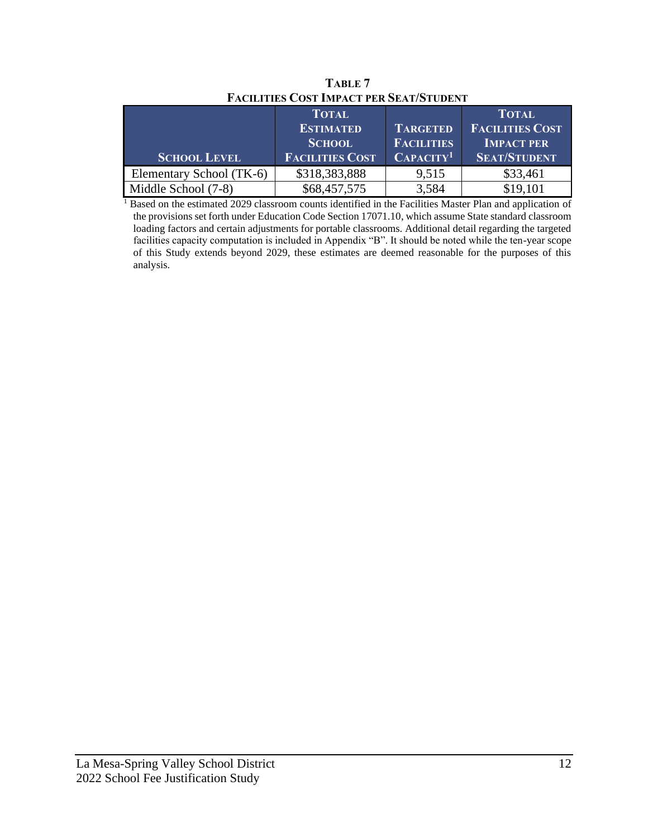| TACILITIES COST INITACI TEN SEATISTOPEN I |                                                   |                                      |                                                             |  |
|-------------------------------------------|---------------------------------------------------|--------------------------------------|-------------------------------------------------------------|--|
|                                           | <b>TOTAL</b><br><b>ESTIMATED</b><br><b>SCHOOL</b> | <b>TARGETED</b><br><b>FACILITIES</b> | <b>TOTAL</b><br><b>FACILITIES COST</b><br><b>IMPACT PER</b> |  |
|                                           |                                                   |                                      |                                                             |  |
| <b>SCHOOL LEVEL</b>                       | <b>FACILITIES COST</b>                            | CAPACITY <sup>1</sup>                | <b>SEAT/STUDENT</b>                                         |  |
| Elementary School (TK-6)                  | \$318,383,888                                     | 9,515                                | \$33,461                                                    |  |
| Middle School (7-8)                       | \$68,457,575                                      | 3,584                                | \$19,101                                                    |  |

**TABLE 7 FACILITIES COST IMPACT PER SEAT/STUDENT**

<sup>1</sup> Based on the estimated 2029 classroom counts identified in the Facilities Master Plan and application of the provisions set forth under Education Code Section 17071.10, which assume State standard classroom loading factors and certain adjustments for portable classrooms. Additional detail regarding the targeted facilities capacity computation is included in Appendix "B". It should be noted while the ten-year scope of this Study extends beyond 2029, these estimates are deemed reasonable for the purposes of this analysis.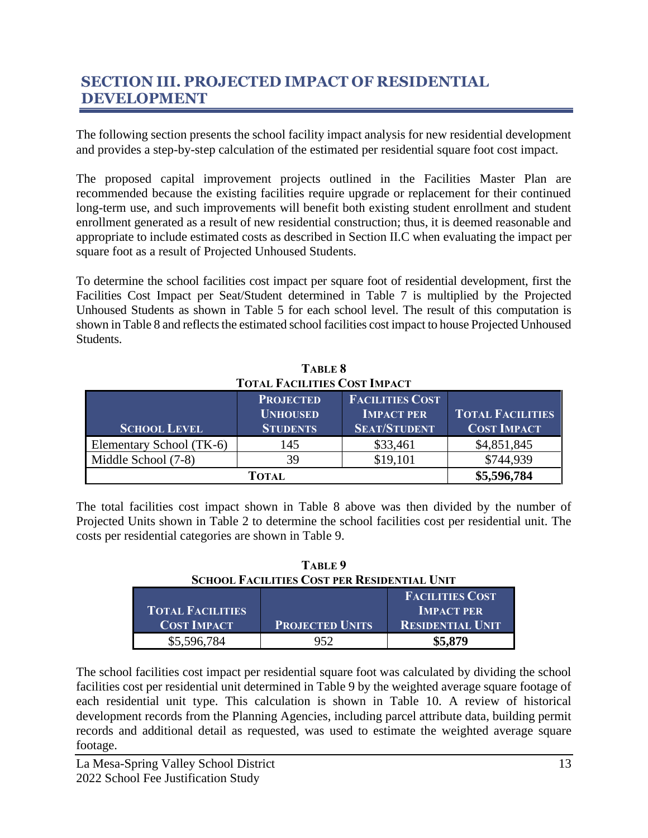## **SECTION III. PROJECTED IMPACT OF RESIDENTIAL DEVELOPMENT**

The following section presents the school facility impact analysis for new residential development and provides a step-by-step calculation of the estimated per residential square foot cost impact.

The proposed capital improvement projects outlined in the Facilities Master Plan are recommended because the existing facilities require upgrade or replacement for their continued long-term use, and such improvements will benefit both existing student enrollment and student enrollment generated as a result of new residential construction; thus, it is deemed reasonable and appropriate to include estimated costs as described in Section II.C when evaluating the impact per square foot as a result of Projected Unhoused Students.

To determine the school facilities cost impact per square foot of residential development, first the Facilities Cost Impact per Seat/Student determined in Table 7 is multiplied by the Projected Unhoused Students as shown in Table 5 for each school level. The result of this computation is shown in Table 8 and reflects the estimated school facilities cost impact to house Projected Unhoused Students.

| TABLE 8                             |  |
|-------------------------------------|--|
| <b>TOTAL FACILITIES COST IMPACT</b> |  |

| <b>SCHOOL LEVEL</b>      | <b>PROJECTED</b><br><b>UNHOUSED</b><br><b>STUDENTS</b> | <b>FACILITIES COST</b><br><b>IMPACT PER</b><br><b>SEAT/STUDENT</b> | <b>TOTAL FACILITIES</b><br><b>COST IMPACT</b> |
|--------------------------|--------------------------------------------------------|--------------------------------------------------------------------|-----------------------------------------------|
| Elementary School (TK-6) | 145                                                    | \$33,461                                                           | \$4,851,845                                   |
| Middle School (7-8)      | 39                                                     | \$19,101                                                           | \$744,939                                     |
|                          | TOTAL                                                  |                                                                    | \$5,596,784                                   |

The total facilities cost impact shown in Table 8 above was then divided by the number of Projected Units shown in Table 2 to determine the school facilities cost per residential unit. The costs per residential categories are shown in Table 9.

**TABLE 9 SCHOOL FACILITIES COST PER RESIDENTIAL UNIT**

|                         |                        | <b>FACILITIES COST</b>  |
|-------------------------|------------------------|-------------------------|
| <b>TOTAL FACILITIES</b> |                        | <b>IMPACT PER</b>       |
| <b>COST IMPACT</b>      | <b>PROJECTED UNITS</b> | <b>RESIDENTIAL UNIT</b> |
| \$5,596,784             | 952                    | \$5,879                 |

The school facilities cost impact per residential square foot was calculated by dividing the school facilities cost per residential unit determined in Table 9 by the weighted average square footage of each residential unit type. This calculation is shown in Table 10. A review of historical development records from the Planning Agencies, including parcel attribute data, building permit records and additional detail as requested, was used to estimate the weighted average square footage.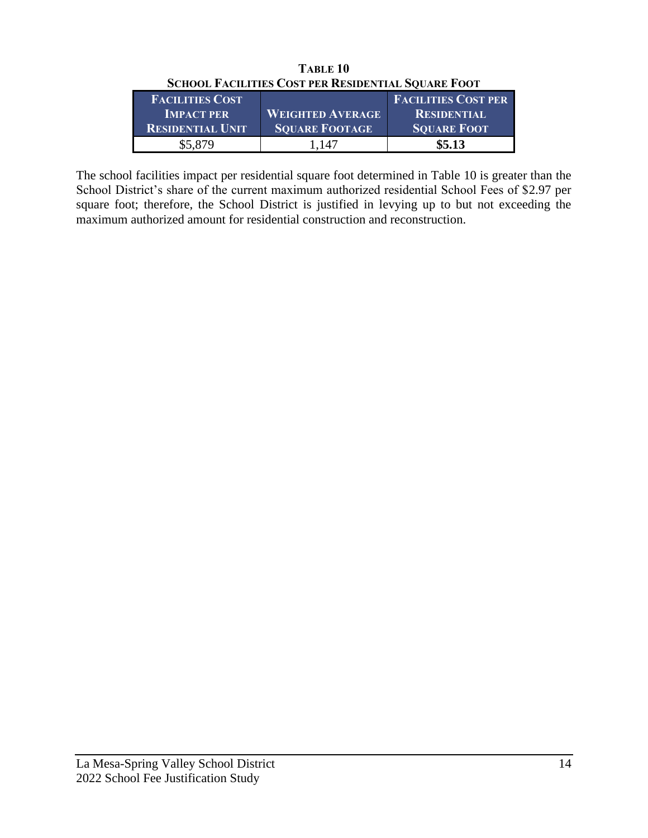|                         | SCHOOL PACILITIES COST TEN INESIDENTIAL SOUANE POOT |                            |
|-------------------------|-----------------------------------------------------|----------------------------|
| <b>FACILITIES COST</b>  |                                                     | <b>FACILITIES COST PER</b> |
| <b>IMPACT PER</b>       | <b>WEIGHTED AVERAGE</b>                             | <b>RESIDENTIAL</b>         |
| <b>RESIDENTIAL UNIT</b> | <b>SOUARE FOOTAGE</b>                               | <b>SQUARE FOOT</b>         |
| \$5,879                 | 1.147                                               | \$5.13                     |

**TABLE 10 SCHOOL FACILITIES COST PER RESIDENTIAL SQUARE FOOT** 

The school facilities impact per residential square foot determined in Table 10 is greater than the School District's share of the current maximum authorized residential School Fees of \$2.97 per square foot; therefore, the School District is justified in levying up to but not exceeding the maximum authorized amount for residential construction and reconstruction.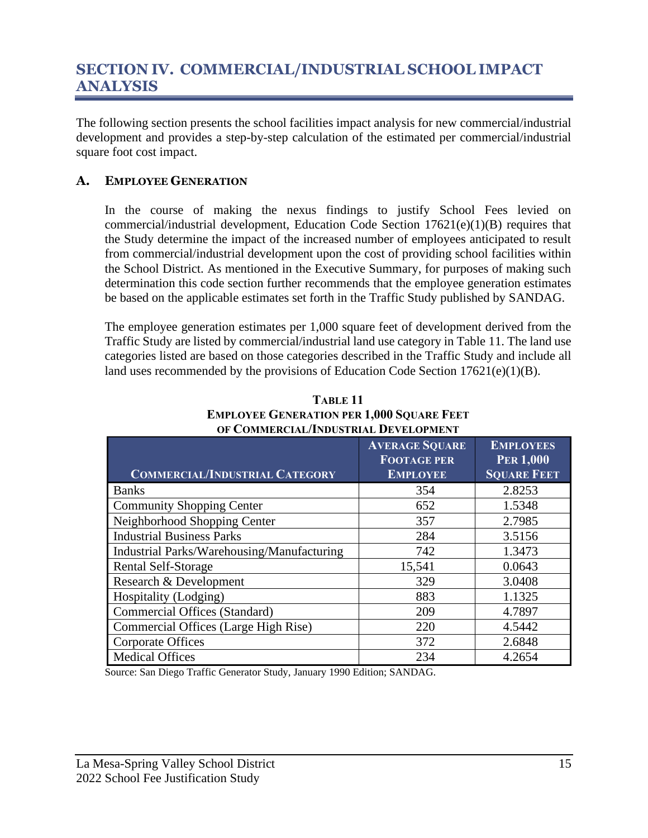## <span id="page-16-0"></span>**SECTION IV. COMMERCIAL/INDUSTRIAL SCHOOL IMPACT ANALYSIS**

The following section presents the school facilities impact analysis for new commercial/industrial development and provides a step-by-step calculation of the estimated per commercial/industrial square foot cost impact.

#### <span id="page-16-1"></span>**A. EMPLOYEE GENERATION**

In the course of making the nexus findings to justify School Fees levied on commercial/industrial development, Education Code Section 17621(e)(1)(B) requires that the Study determine the impact of the increased number of employees anticipated to result from commercial/industrial development upon the cost of providing school facilities within the School District. As mentioned in the Executive Summary, for purposes of making such determination this code section further recommends that the employee generation estimates be based on the applicable estimates set forth in the Traffic Study published by SANDAG.

The employee generation estimates per 1,000 square feet of development derived from the Traffic Study are listed by commercial/industrial land use category in Table 11. The land use categories listed are based on those categories described in the Traffic Study and include all land uses recommended by the provisions of Education Code Section 17621(e)(1)(B).

|                                            | <b>AVERAGE SQUARE</b><br><b>FOOTAGE PER</b> | <b>EMPLOYEES</b><br><b>PER 1,000</b> |
|--------------------------------------------|---------------------------------------------|--------------------------------------|
| <b>COMMERCIAL/INDUSTRIAL CATEGORY</b>      | <b>EMPLOYEE</b>                             | <b>SQUARE FEET</b>                   |
| <b>Banks</b>                               | 354                                         | 2.8253                               |
| <b>Community Shopping Center</b>           | 652                                         | 1.5348                               |
| Neighborhood Shopping Center               | 357                                         | 2.7985                               |
| <b>Industrial Business Parks</b>           | 284                                         | 3.5156                               |
| Industrial Parks/Warehousing/Manufacturing | 742                                         | 1.3473                               |
| <b>Rental Self-Storage</b>                 | 15,541                                      | 0.0643                               |
| Research & Development                     | 329                                         | 3.0408                               |
| Hospitality (Lodging)                      | 883                                         | 1.1325                               |
| Commercial Offices (Standard)              | 209                                         | 4.7897                               |
| Commercial Offices (Large High Rise)       | 220                                         | 4.5442                               |
| <b>Corporate Offices</b>                   | 372                                         | 2.6848                               |
| <b>Medical Offices</b>                     | 234                                         | 4.2654                               |

**TABLE 11 EMPLOYEE GENERATION PER 1,000 SQUARE FEET OF COMMERCIAL/INDUSTRIAL DEVELOPMENT**

Source: San Diego Traffic Generator Study, January 1990 Edition; SANDAG.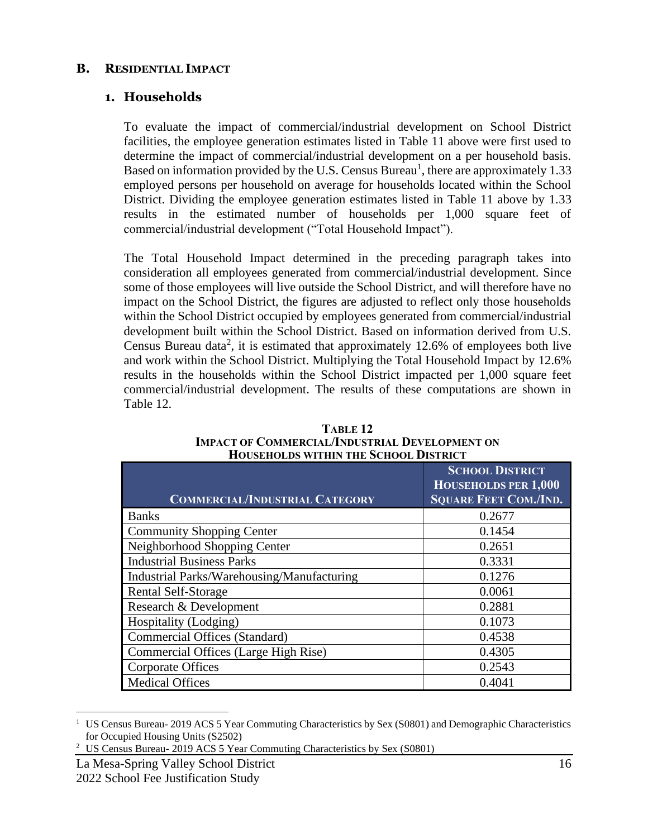#### <span id="page-17-0"></span>**B. RESIDENTIAL IMPACT**

#### **1. Households**

To evaluate the impact of commercial/industrial development on School District facilities, the employee generation estimates listed in Table 11 above were first used to determine the impact of commercial/industrial development on a per household basis. Based on information provided by the U.S. Census Bureau<sup>1</sup>, there are approximately 1.33 employed persons per household on average for households located within the School District. Dividing the employee generation estimates listed in Table 11 above by 1.33 results in the estimated number of households per 1,000 square feet of commercial/industrial development ("Total Household Impact").

The Total Household Impact determined in the preceding paragraph takes into consideration all employees generated from commercial/industrial development. Since some of those employees will live outside the School District, and will therefore have no impact on the School District, the figures are adjusted to reflect only those households within the School District occupied by employees generated from commercial/industrial development built within the School District. Based on information derived from U.S. Census Bureau data<sup>2</sup>, it is estimated that approximately 12.6% of employees both live and work within the School District. Multiplying the Total Household Impact by 12.6% results in the households within the School District impacted per 1,000 square feet commercial/industrial development. The results of these computations are shown in Table 12.

| <b>COMMERCIAL/INDUSTRIAL CATEGORY</b>      | <b>SCHOOL DISTRICT</b><br>HOUSEHOLDS PER 1,000<br><b>SQUARE FEET COM./IND.</b> |
|--------------------------------------------|--------------------------------------------------------------------------------|
| <b>Banks</b>                               | 0.2677                                                                         |
| <b>Community Shopping Center</b>           | 0.1454                                                                         |
| Neighborhood Shopping Center               | 0.2651                                                                         |
| <b>Industrial Business Parks</b>           | 0.3331                                                                         |
| Industrial Parks/Warehousing/Manufacturing | 0.1276                                                                         |
| Rental Self-Storage                        | 0.0061                                                                         |
| Research & Development                     | 0.2881                                                                         |
| Hospitality (Lodging)                      | 0.1073                                                                         |
| <b>Commercial Offices (Standard)</b>       | 0.4538                                                                         |
| Commercial Offices (Large High Rise)       | 0.4305                                                                         |
| <b>Corporate Offices</b>                   | 0.2543                                                                         |
| <b>Medical Offices</b>                     | 0.4041                                                                         |

**TABLE 12 IMPACT OF COMMERCIAL/INDUSTRIAL DEVELOPMENT ON HOUSEHOLDS WITHIN THE SCHOOL DISTRICT**

<sup>1</sup> US Census Bureau- 2019 ACS 5 Year Commuting Characteristics by Sex (S0801) and Demographic Characteristics for Occupied Housing Units (S2502)

<sup>&</sup>lt;sup>2</sup> US Census Bureau- 2019 ACS 5 Year Commuting Characteristics by Sex (S0801)

La Mesa-Spring Valley School District 16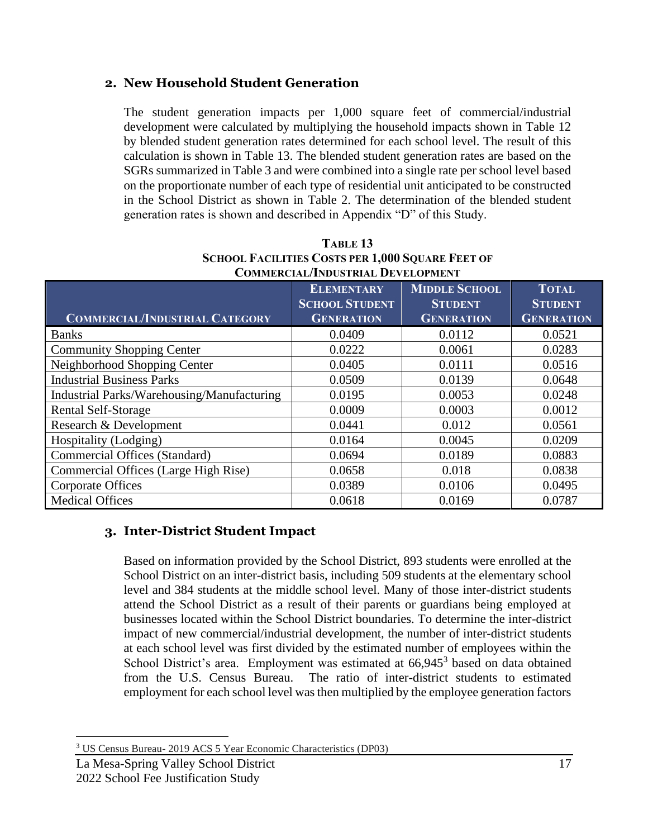#### **2. New Household Student Generation**

The student generation impacts per 1,000 square feet of commercial/industrial development were calculated by multiplying the household impacts shown in Table 12 by blended student generation rates determined for each school level. The result of this calculation is shown in Table 13. The blended student generation rates are based on the SGRs summarized in Table 3 and were combined into a single rate per school level based on the proportionate number of each type of residential unit anticipated to be constructed in the School District as shown in Table 2. The determination of the blended student generation rates is shown and described in Appendix "D" of this Study.

| <b>COMMERCIAL/INDUSTRIAL CATEGORY</b>      | <b>ELEMENTARY</b><br><b>SCHOOL STUDENT</b><br><b>GENERATION</b> | <b>MIDDLE SCHOOL</b><br><b>STUDENT</b><br><b>GENERATION</b> | <b>TOTAL</b><br><b>STUDENT</b><br><b>GENERATION</b> |
|--------------------------------------------|-----------------------------------------------------------------|-------------------------------------------------------------|-----------------------------------------------------|
| <b>Banks</b>                               | 0.0409                                                          | 0.0112                                                      | 0.0521                                              |
| <b>Community Shopping Center</b>           | 0.0222                                                          | 0.0061                                                      | 0.0283                                              |
| Neighborhood Shopping Center               | 0.0405                                                          | 0.0111                                                      | 0.0516                                              |
| <b>Industrial Business Parks</b>           | 0.0509                                                          | 0.0139                                                      | 0.0648                                              |
| Industrial Parks/Warehousing/Manufacturing | 0.0195                                                          | 0.0053                                                      | 0.0248                                              |
| Rental Self-Storage                        | 0.0009                                                          | 0.0003                                                      | 0.0012                                              |
| Research & Development                     | 0.0441                                                          | 0.012                                                       | 0.0561                                              |
| Hospitality (Lodging)                      | 0.0164                                                          | 0.0045                                                      | 0.0209                                              |
| Commercial Offices (Standard)              | 0.0694                                                          | 0.0189                                                      | 0.0883                                              |
| Commercial Offices (Large High Rise)       | 0.0658                                                          | 0.018                                                       | 0.0838                                              |
| <b>Corporate Offices</b>                   | 0.0389                                                          | 0.0106                                                      | 0.0495                                              |
| <b>Medical Offices</b>                     | 0.0618                                                          | 0.0169                                                      | 0.0787                                              |

#### **TABLE 13 SCHOOL FACILITIES COSTS PER 1,000 SQUARE FEET OF COMMERCIAL/INDUSTRIAL DEVELOPMENT**

### **3. Inter-District Student Impact**

Based on information provided by the School District, 893 students were enrolled at the School District on an inter-district basis, including 509 students at the elementary school level and 384 students at the middle school level. Many of those inter-district students attend the School District as a result of their parents or guardians being employed at businesses located within the School District boundaries. To determine the inter-district impact of new commercial/industrial development, the number of inter-district students at each school level was first divided by the estimated number of employees within the School District's area. Employment was estimated at 66,945<sup>3</sup> based on data obtained from the U.S. Census Bureau. The ratio of inter-district students to estimated employment for each school level was then multiplied by the employee generation factors

<sup>3</sup> US Census Bureau- 2019 ACS 5 Year Economic Characteristics (DP03)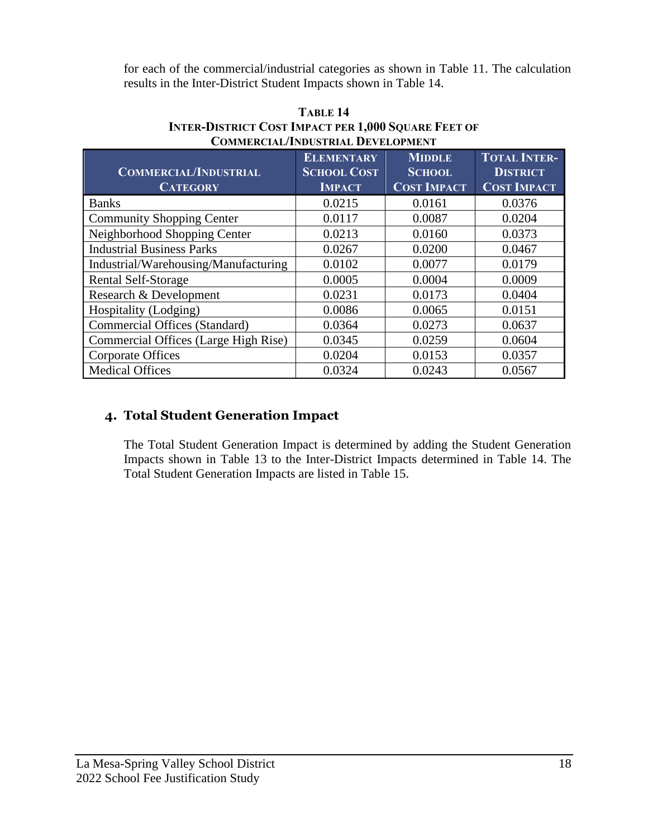for each of the commercial/industrial categories as shown in Table 11. The calculation results in the Inter-District Student Impacts shown in Table 14.

| <b>COMMERCIAL/INDUSTRIAL</b><br><b>CATEGORY</b> | <b>ELEMENTARY</b><br><b>SCHOOL COST</b><br><b>IMPACT</b> | <b>MIDDLE</b><br><b>SCHOOL</b><br><b>COST IMPACT</b> | <b>TOTAL INTER-</b><br><b>DISTRICT</b><br><b>COST IMPACT</b> |
|-------------------------------------------------|----------------------------------------------------------|------------------------------------------------------|--------------------------------------------------------------|
| <b>Banks</b>                                    | 0.0215                                                   | 0.0161                                               | 0.0376                                                       |
| <b>Community Shopping Center</b>                | 0.0117                                                   | 0.0087                                               | 0.0204                                                       |
| Neighborhood Shopping Center                    | 0.0213                                                   | 0.0160                                               | 0.0373                                                       |
| <b>Industrial Business Parks</b>                | 0.0267                                                   | 0.0200                                               | 0.0467                                                       |
| Industrial/Warehousing/Manufacturing            | 0.0102                                                   | 0.0077                                               | 0.0179                                                       |
| Rental Self-Storage                             | 0.0005                                                   | 0.0004                                               | 0.0009                                                       |
| Research & Development                          | 0.0231                                                   | 0.0173                                               | 0.0404                                                       |
| Hospitality (Lodging)                           | 0.0086                                                   | 0.0065                                               | 0.0151                                                       |
| Commercial Offices (Standard)                   | 0.0364                                                   | 0.0273                                               | 0.0637                                                       |
| Commercial Offices (Large High Rise)            | 0.0345                                                   | 0.0259                                               | 0.0604                                                       |
| <b>Corporate Offices</b>                        | 0.0204                                                   | 0.0153                                               | 0.0357                                                       |
| <b>Medical Offices</b>                          | 0.0324                                                   | 0.0243                                               | 0.0567                                                       |

#### **TABLE 14 INTER-DISTRICT COST IMPACT PER 1,000 SQUARE FEET OF COMMERCIAL/INDUSTRIAL DEVELOPMENT**

## **4. Total Student Generation Impact**

The Total Student Generation Impact is determined by adding the Student Generation Impacts shown in Table 13 to the Inter-District Impacts determined in Table 14. The Total Student Generation Impacts are listed in Table 15.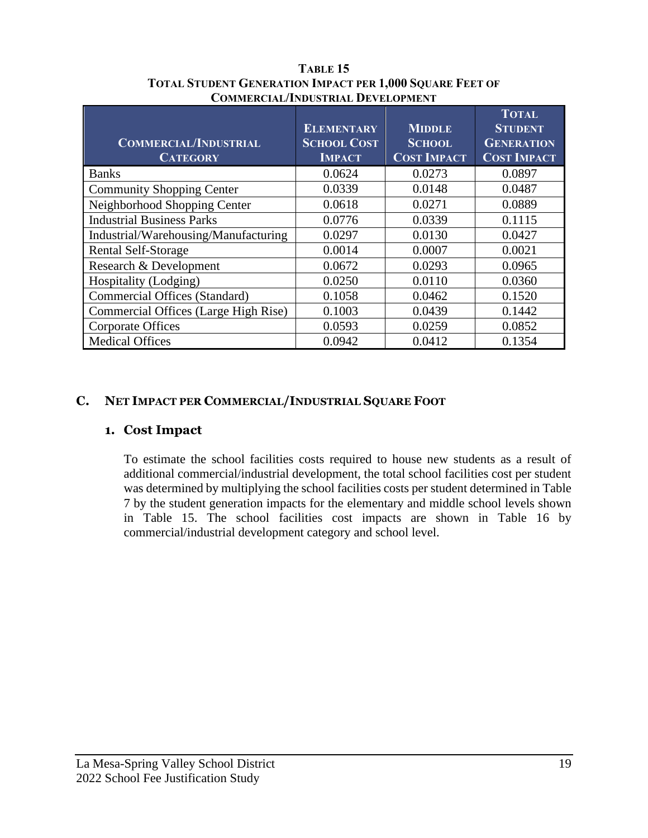| <b>COMMERCIAL/INDUSTRIAL</b><br><b>CATEGORY</b> | <b>ELEMENTARY</b><br><b>SCHOOL COST</b><br><b>IMPACT</b> | <b>MIDDLE</b><br><b>SCHOOL</b><br><b>COST IMPACT</b> | <b>TOTAL</b><br><b>STUDENT</b><br><b>GENERATION</b><br><b>COST IMPACT</b> |
|-------------------------------------------------|----------------------------------------------------------|------------------------------------------------------|---------------------------------------------------------------------------|
| <b>Banks</b>                                    | 0.0624                                                   | 0.0273                                               | 0.0897                                                                    |
| <b>Community Shopping Center</b>                | 0.0339                                                   | 0.0148                                               | 0.0487                                                                    |
| Neighborhood Shopping Center                    | 0.0618                                                   | 0.0271                                               | 0.0889                                                                    |
| <b>Industrial Business Parks</b>                | 0.0776                                                   | 0.0339                                               | 0.1115                                                                    |
| Industrial/Warehousing/Manufacturing            | 0.0297                                                   | 0.0130                                               | 0.0427                                                                    |
| Rental Self-Storage                             | 0.0014                                                   | 0.0007                                               | 0.0021                                                                    |
| Research & Development                          | 0.0672                                                   | 0.0293                                               | 0.0965                                                                    |
| Hospitality (Lodging)                           | 0.0250                                                   | 0.0110                                               | 0.0360                                                                    |
| <b>Commercial Offices (Standard)</b>            | 0.1058                                                   | 0.0462                                               | 0.1520                                                                    |
| Commercial Offices (Large High Rise)            | 0.1003                                                   | 0.0439                                               | 0.1442                                                                    |
| <b>Corporate Offices</b>                        | 0.0593                                                   | 0.0259                                               | 0.0852                                                                    |
| <b>Medical Offices</b>                          | 0.0942                                                   | 0.0412                                               | 0.1354                                                                    |

**TABLE 15 TOTAL STUDENT GENERATION IMPACT PER 1,000 SQUARE FEET OF COMMERCIAL/INDUSTRIAL DEVELOPMENT**

### <span id="page-20-0"></span>**C. NET IMPACT PER COMMERCIAL/INDUSTRIAL SQUARE FOOT**

#### **1. Cost Impact**

To estimate the school facilities costs required to house new students as a result of additional commercial/industrial development, the total school facilities cost per student was determined by multiplying the school facilities costs per student determined in Table 7 by the student generation impacts for the elementary and middle school levels shown in Table 15. The school facilities cost impacts are shown in Table 16 by commercial/industrial development category and school level.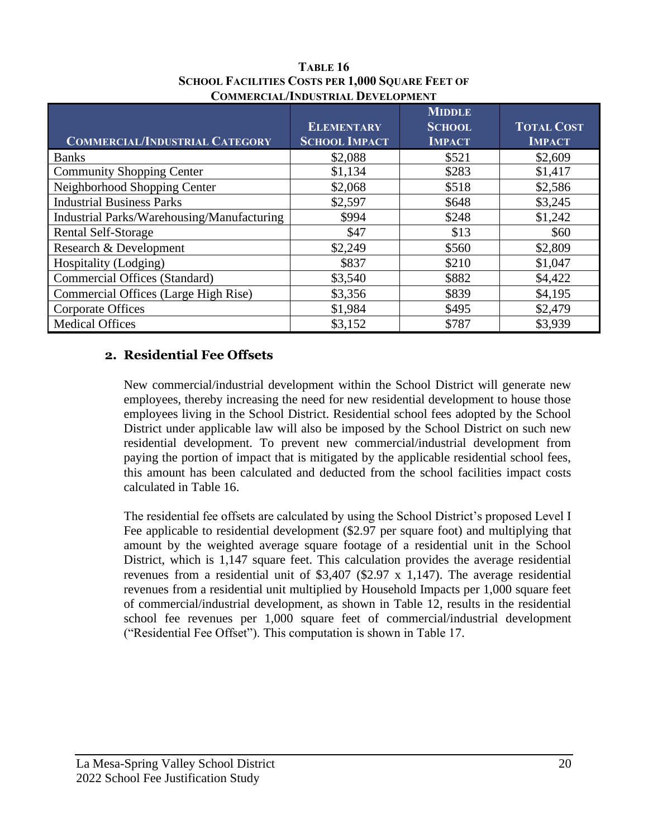| <b>COMMERCIAL/INDUSTRIAL CATEGORY</b>      | <b>ELEMENTARY</b><br><b>SCHOOL IMPACT</b> | <b>MIDDLE</b><br><b>SCHOOL</b><br><b>IMPACT</b> | <b>TOTAL COST</b><br><b>IMPACT</b> |
|--------------------------------------------|-------------------------------------------|-------------------------------------------------|------------------------------------|
| <b>Banks</b>                               | \$2,088                                   | \$521                                           | \$2,609                            |
| <b>Community Shopping Center</b>           | \$1,134                                   | \$283                                           | \$1,417                            |
| Neighborhood Shopping Center               | \$2,068                                   | \$518                                           | \$2,586                            |
| <b>Industrial Business Parks</b>           | \$2,597                                   | \$648                                           | \$3,245                            |
| Industrial Parks/Warehousing/Manufacturing | \$994                                     | \$248                                           | \$1,242                            |
| Rental Self-Storage                        | \$47                                      | \$13                                            | \$60                               |
| Research & Development                     | \$2,249                                   | \$560                                           | \$2,809                            |
| Hospitality (Lodging)                      | \$837                                     | \$210                                           | \$1,047                            |
| Commercial Offices (Standard)              | \$3,540                                   | \$882                                           | \$4,422                            |
| Commercial Offices (Large High Rise)       | \$3,356                                   | \$839                                           | \$4,195                            |
| <b>Corporate Offices</b>                   | \$1,984                                   | \$495                                           | \$2,479                            |
| <b>Medical Offices</b>                     | \$3,152                                   | \$787                                           | \$3,939                            |

#### **TABLE 16 SCHOOL FACILITIES COSTS PER 1,000 SQUARE FEET OF COMMERCIAL/INDUSTRIAL DEVELOPMENT**

#### **2. Residential Fee Offsets**

New commercial/industrial development within the School District will generate new employees, thereby increasing the need for new residential development to house those employees living in the School District. Residential school fees adopted by the School District under applicable law will also be imposed by the School District on such new residential development. To prevent new commercial/industrial development from paying the portion of impact that is mitigated by the applicable residential school fees, this amount has been calculated and deducted from the school facilities impact costs calculated in Table 16.

The residential fee offsets are calculated by using the School District's proposed Level I Fee applicable to residential development (\$2.97 per square foot) and multiplying that amount by the weighted average square footage of a residential unit in the School District, which is 1,147 square feet. This calculation provides the average residential revenues from a residential unit of \$3,407 (\$2.97 x 1,147). The average residential revenues from a residential unit multiplied by Household Impacts per 1,000 square feet of commercial/industrial development, as shown in Table 12, results in the residential school fee revenues per 1,000 square feet of commercial/industrial development ("Residential Fee Offset"). This computation is shown in Table 17.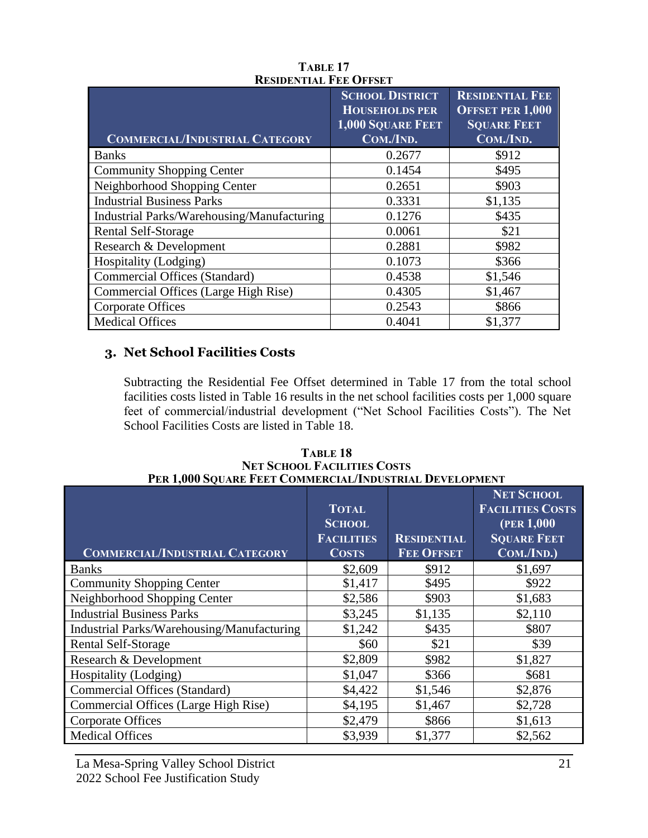|                                            | <b>SCHOOL DISTRICT</b><br><b>HOUSEHOLDS PER</b><br><b>1,000 SQUARE FEET</b> | <b>RESIDENTIAL FEE</b><br><b>OFFSET PER 1,000</b><br><b>SQUARE FEET</b> |
|--------------------------------------------|-----------------------------------------------------------------------------|-------------------------------------------------------------------------|
| <b>COMMERCIAL/INDUSTRIAL CATEGORY</b>      | COM./IND.                                                                   | COM./IND.                                                               |
| <b>Banks</b>                               | 0.2677                                                                      | \$912                                                                   |
| <b>Community Shopping Center</b>           | 0.1454                                                                      | \$495                                                                   |
| Neighborhood Shopping Center               | 0.2651                                                                      | \$903                                                                   |
| <b>Industrial Business Parks</b>           | 0.3331                                                                      | \$1,135                                                                 |
| Industrial Parks/Warehousing/Manufacturing | 0.1276                                                                      | \$435                                                                   |
| <b>Rental Self-Storage</b>                 | 0.0061                                                                      | \$21                                                                    |
| Research & Development                     | 0.2881                                                                      | \$982                                                                   |
| Hospitality (Lodging)                      | 0.1073                                                                      | \$366                                                                   |
| <b>Commercial Offices (Standard)</b>       | 0.4538                                                                      | \$1,546                                                                 |
| Commercial Offices (Large High Rise)       | 0.4305                                                                      | \$1,467                                                                 |
| <b>Corporate Offices</b>                   | 0.2543                                                                      | \$866                                                                   |
| <b>Medical Offices</b>                     | 0.4041                                                                      | \$1,377                                                                 |

#### **TABLE 17 RESIDENTIAL FEE OFFSET**

### **3. Net School Facilities Costs**

Subtracting the Residential Fee Offset determined in Table 17 from the total school facilities costs listed in Table 16 results in the net school facilities costs per 1,000 square feet of commercial/industrial development ("Net School Facilities Costs"). The Net School Facilities Costs are listed in Table 18.

**COMMERCIAL/INDUSTRIAL CATEGORY TOTAL SCHOOL FACILITIES COSTS RESIDENTIAL FEE OFFSET NET SCHOOL FACILITIES COSTS (PER 1,000 SQUARE FEET COM./IND.)** Banks \$2,609 \$912 \$1,697 Community Shopping Center  $\vert$  \$1,417  $\vert$  \$495  $\vert$  \$922 Neighborhood Shopping Center  $$2,586$   $$903$  \$1,683 Industrial Business Parks  $\begin{array}{ccc} 83,245 & 81,135 & 82,110 \\ \end{array}$ Industrial Parks/Warehousing/Manufacturing  $\vert$  \$1,242  $\vert$  \$435 \$807 Rental Self-Storage  $\$60$   $\$21$   $\$39$ Research & Development  $$2,809$   $$982$   $$1,827$ Hospitality (Lodging)  $$1,047$  \$366 \$681 Commercial Offices (Standard)  $$4,422$   $$1,546$   $$2,876$ Commercial Offices (Large High Rise)  $$4,195$   $$1,467$   $$2,728$ Corporate Offices  $$2,479$   $$866$   $$1,613$ Medical Offices 83,939 \$1,377 \$2,562

**TABLE 18 NET SCHOOL FACILITIES COSTS PER 1,000 SQUARE FEET COMMERCIAL/INDUSTRIAL DEVELOPMENT**

La Mesa-Spring Valley School District 21 2022 School Fee Justification Study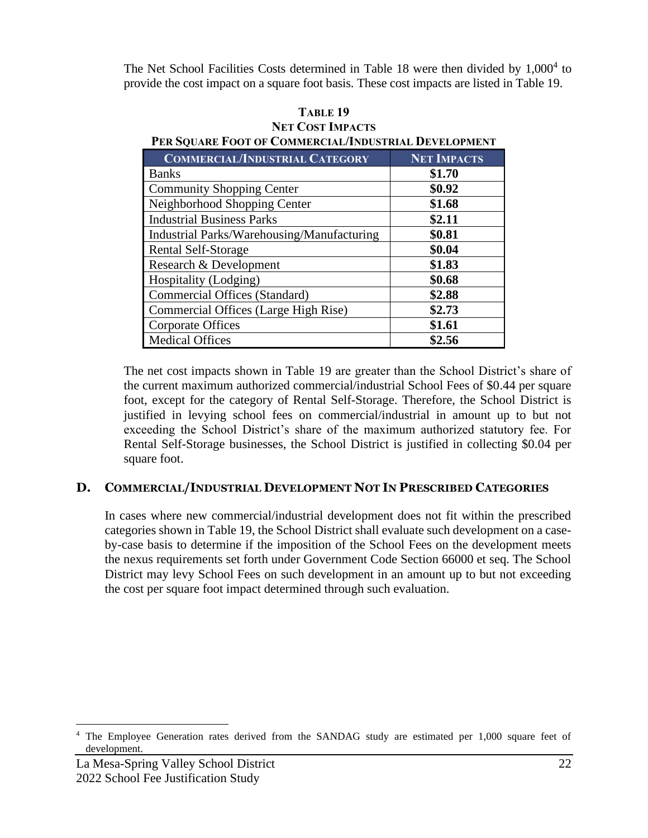The Net School Facilities Costs determined in Table 18 were then divided by 1,000<sup>4</sup> to provide the cost impact on a square foot basis. These cost impacts are listed in Table 19.

| INET VAJST INIPAUTS<br>PER SQUARE FOOT OF COMMERCIAL/INDUSTRIAL DEVELOPMENT |                    |  |
|-----------------------------------------------------------------------------|--------------------|--|
| <b>COMMERCIAL/INDUSTRIAL CATEGORY</b>                                       | <b>NET IMPACTS</b> |  |
| <b>Banks</b>                                                                | \$1.70             |  |
| <b>Community Shopping Center</b>                                            | \$0.92             |  |
| Neighborhood Shopping Center                                                | \$1.68             |  |
| <b>Industrial Business Parks</b>                                            | \$2.11             |  |
| Industrial Parks/Warehousing/Manufacturing                                  | \$0.81             |  |
| Rental Self-Storage                                                         | \$0.04             |  |
| Research & Development                                                      | \$1.83             |  |
| Hospitality (Lodging)                                                       | \$0.68             |  |
| <b>Commercial Offices (Standard)</b>                                        | \$2.88             |  |
| Commercial Offices (Large High Rise)                                        | \$2.73             |  |
| <b>Corporate Offices</b>                                                    | \$1.61             |  |
| <b>Medical Offices</b>                                                      | \$2.56             |  |

## **TABLE 19 NET COST IMPACTS**

The net cost impacts shown in Table 19 are greater than the School District's share of the current maximum authorized commercial/industrial School Fees of \$0.44 per square foot, except for the category of Rental Self-Storage. Therefore, the School District is justified in levying school fees on commercial/industrial in amount up to but not exceeding the School District's share of the maximum authorized statutory fee. For Rental Self-Storage businesses, the School District is justified in collecting \$0.04 per square foot.

#### <span id="page-23-0"></span>**D. COMMERCIAL/INDUSTRIAL DEVELOPMENT NOT IN PRESCRIBED CATEGORIES**

In cases where new commercial/industrial development does not fit within the prescribed categories shown in Table 19, the School District shall evaluate such development on a caseby-case basis to determine if the imposition of the School Fees on the development meets the nexus requirements set forth under Government Code Section 66000 et seq. The School District may levy School Fees on such development in an amount up to but not exceeding the cost per square foot impact determined through such evaluation.

<sup>&</sup>lt;sup>4</sup> The Employee Generation rates derived from the SANDAG study are estimated per 1,000 square feet of development.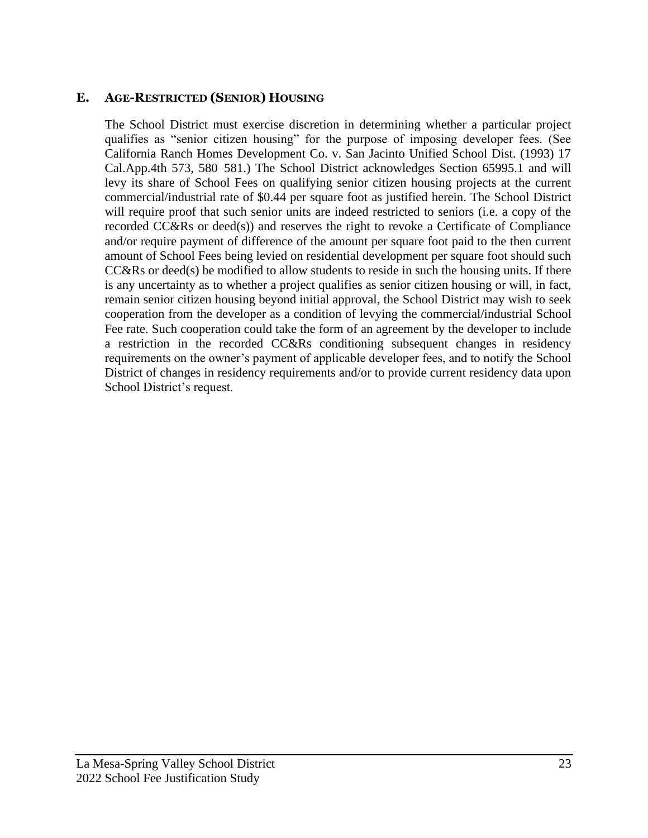### <span id="page-24-0"></span>**E. AGE-RESTRICTED (SENIOR) HOUSING**

The School District must exercise discretion in determining whether a particular project qualifies as "senior citizen housing" for the purpose of imposing developer fees. (See California Ranch Homes Development Co. v. San Jacinto Unified School Dist. (1993) 17 Cal.App.4th 573, 580–581.) The School District acknowledges Section 65995.1 and will levy its share of School Fees on qualifying senior citizen housing projects at the current commercial/industrial rate of \$0.44 per square foot as justified herein. The School District will require proof that such senior units are indeed restricted to seniors (i.e. a copy of the recorded CC&Rs or deed(s)) and reserves the right to revoke a Certificate of Compliance and/or require payment of difference of the amount per square foot paid to the then current amount of School Fees being levied on residential development per square foot should such CC&Rs or deed(s) be modified to allow students to reside in such the housing units. If there is any uncertainty as to whether a project qualifies as senior citizen housing or will, in fact, remain senior citizen housing beyond initial approval, the School District may wish to seek cooperation from the developer as a condition of levying the commercial/industrial School Fee rate. Such cooperation could take the form of an agreement by the developer to include a restriction in the recorded CC&Rs conditioning subsequent changes in residency requirements on the owner's payment of applicable developer fees, and to notify the School District of changes in residency requirements and/or to provide current residency data upon School District's request.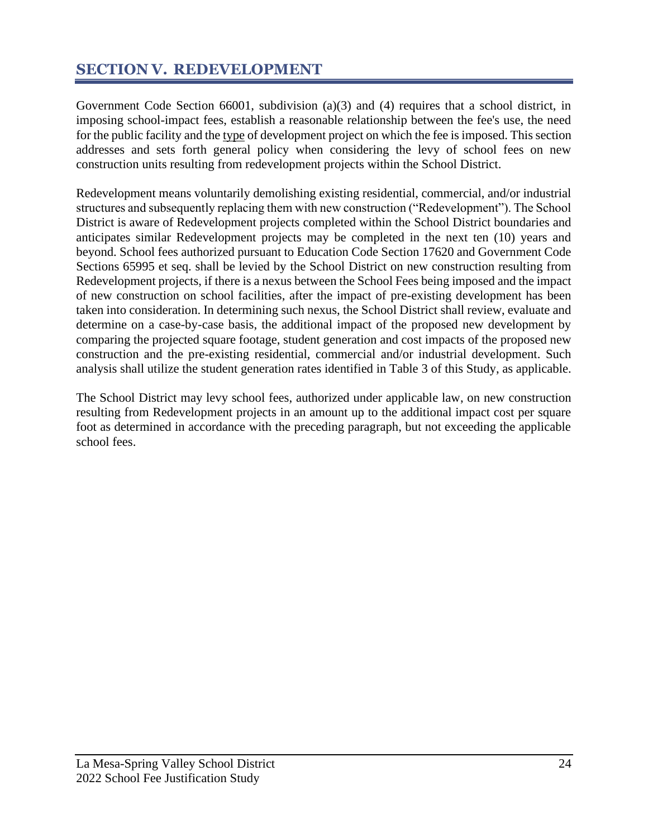## <span id="page-25-0"></span>**SECTION V. REDEVELOPMENT**

Government Code Section 66001, subdivision (a)(3) and (4) requires that a school district, in imposing school-impact fees, establish a reasonable relationship between the fee's use, the need for the public facility and the type of development project on which the fee is imposed. This section addresses and sets forth general policy when considering the levy of school fees on new construction units resulting from redevelopment projects within the School District.

Redevelopment means voluntarily demolishing existing residential, commercial, and/or industrial structures and subsequently replacing them with new construction ("Redevelopment"). The School District is aware of Redevelopment projects completed within the School District boundaries and anticipates similar Redevelopment projects may be completed in the next ten (10) years and beyond. School fees authorized pursuant to Education Code Section 17620 and Government Code Sections 65995 et seq. shall be levied by the School District on new construction resulting from Redevelopment projects, if there is a nexus between the School Fees being imposed and the impact of new construction on school facilities, after the impact of pre-existing development has been taken into consideration. In determining such nexus, the School District shall review, evaluate and determine on a case-by-case basis, the additional impact of the proposed new development by comparing the projected square footage, student generation and cost impacts of the proposed new construction and the pre-existing residential, commercial and/or industrial development. Such analysis shall utilize the student generation rates identified in Table 3 of this Study, as applicable.

The School District may levy school fees, authorized under applicable law, on new construction resulting from Redevelopment projects in an amount up to the additional impact cost per square foot as determined in accordance with the preceding paragraph, but not exceeding the applicable school fees.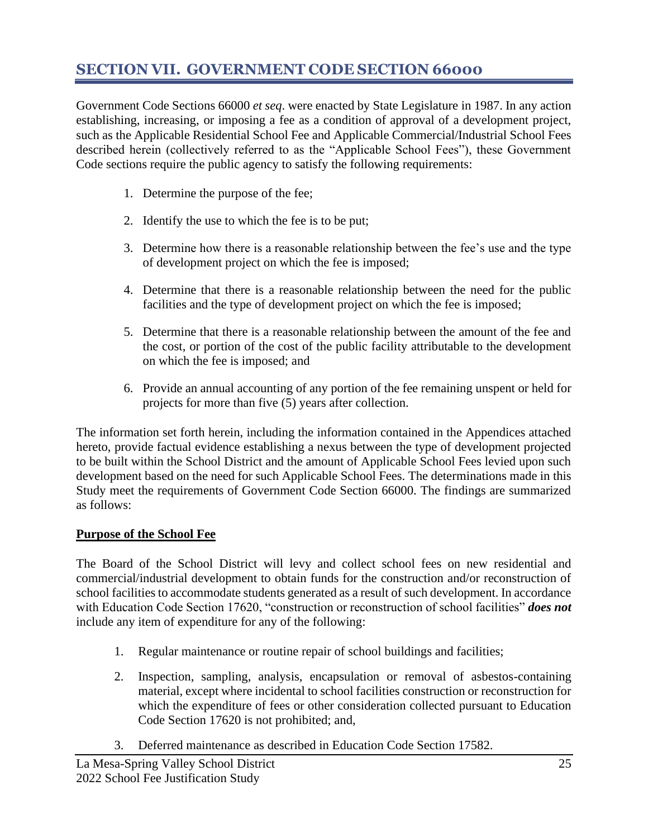## <span id="page-26-0"></span>**SECTION VII. GOVERNMENT CODE SECTION 66000**

Government Code Sections 66000 *et seq*. were enacted by State Legislature in 1987. In any action establishing, increasing, or imposing a fee as a condition of approval of a development project, such as the Applicable Residential School Fee and Applicable Commercial/Industrial School Fees described herein (collectively referred to as the "Applicable School Fees"), these Government Code sections require the public agency to satisfy the following requirements:

- 1. Determine the purpose of the fee;
- 2. Identify the use to which the fee is to be put;
- 3. Determine how there is a reasonable relationship between the fee's use and the type of development project on which the fee is imposed;
- 4. Determine that there is a reasonable relationship between the need for the public facilities and the type of development project on which the fee is imposed;
- 5. Determine that there is a reasonable relationship between the amount of the fee and the cost, or portion of the cost of the public facility attributable to the development on which the fee is imposed; and
- 6. Provide an annual accounting of any portion of the fee remaining unspent or held for projects for more than five (5) years after collection.

The information set forth herein, including the information contained in the Appendices attached hereto, provide factual evidence establishing a nexus between the type of development projected to be built within the School District and the amount of Applicable School Fees levied upon such development based on the need for such Applicable School Fees. The determinations made in this Study meet the requirements of Government Code Section 66000. The findings are summarized as follows:

#### **Purpose of the School Fee**

The Board of the School District will levy and collect school fees on new residential and commercial/industrial development to obtain funds for the construction and/or reconstruction of school facilities to accommodate students generated as a result of such development. In accordance with Education Code Section 17620, "construction or reconstruction of school facilities" *does not* include any item of expenditure for any of the following:

- 1. Regular maintenance or routine repair of school buildings and facilities;
- 2. Inspection, sampling, analysis, encapsulation or removal of asbestos-containing material, except where incidental to school facilities construction or reconstruction for which the expenditure of fees or other consideration collected pursuant to Education Code Section 17620 is not prohibited; and,
- 3. Deferred maintenance as described in Education Code Section 17582.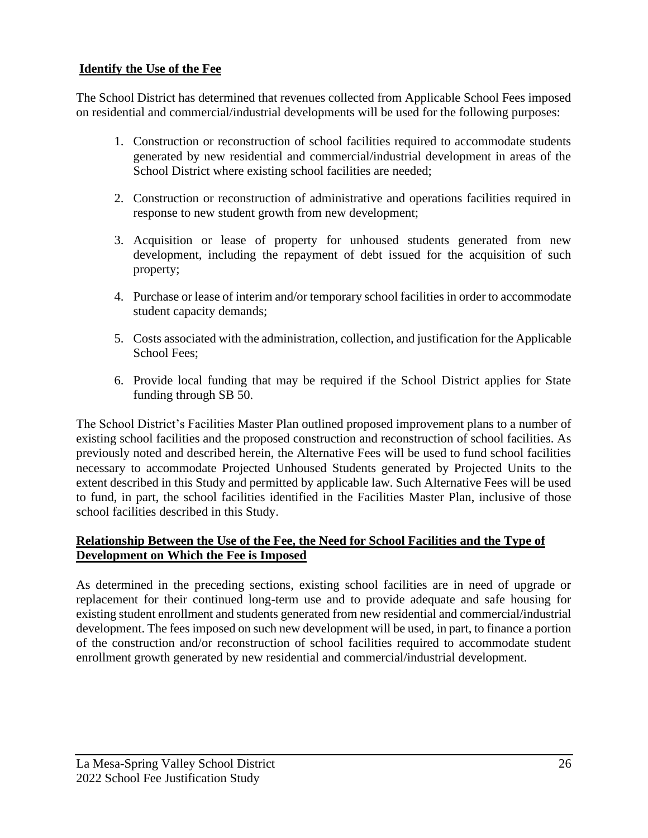#### **Identify the Use of the Fee**

The School District has determined that revenues collected from Applicable School Fees imposed on residential and commercial/industrial developments will be used for the following purposes:

- 1. Construction or reconstruction of school facilities required to accommodate students generated by new residential and commercial/industrial development in areas of the School District where existing school facilities are needed;
- 2. Construction or reconstruction of administrative and operations facilities required in response to new student growth from new development;
- 3. Acquisition or lease of property for unhoused students generated from new development, including the repayment of debt issued for the acquisition of such property;
- 4. Purchase or lease of interim and/or temporary school facilities in order to accommodate student capacity demands;
- 5. Costs associated with the administration, collection, and justification for the Applicable School Fees;
- 6. Provide local funding that may be required if the School District applies for State funding through SB 50.

The School District's Facilities Master Plan outlined proposed improvement plans to a number of existing school facilities and the proposed construction and reconstruction of school facilities. As previously noted and described herein, the Alternative Fees will be used to fund school facilities necessary to accommodate Projected Unhoused Students generated by Projected Units to the extent described in this Study and permitted by applicable law. Such Alternative Fees will be used to fund, in part, the school facilities identified in the Facilities Master Plan, inclusive of those school facilities described in this Study.

#### **Relationship Between the Use of the Fee, the Need for School Facilities and the Type of Development on Which the Fee is Imposed**

As determined in the preceding sections, existing school facilities are in need of upgrade or replacement for their continued long-term use and to provide adequate and safe housing for existing student enrollment and students generated from new residential and commercial/industrial development. The fees imposed on such new development will be used, in part, to finance a portion of the construction and/or reconstruction of school facilities required to accommodate student enrollment growth generated by new residential and commercial/industrial development.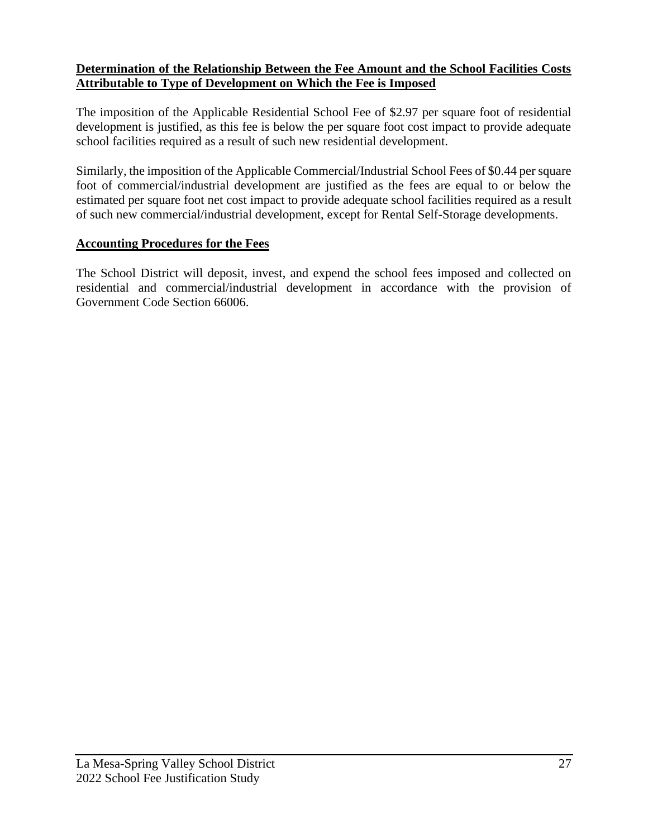#### **Determination of the Relationship Between the Fee Amount and the School Facilities Costs Attributable to Type of Development on Which the Fee is Imposed**

The imposition of the Applicable Residential School Fee of \$2.97 per square foot of residential development is justified, as this fee is below the per square foot cost impact to provide adequate school facilities required as a result of such new residential development.

Similarly, the imposition of the Applicable Commercial/Industrial School Fees of \$0.44 per square foot of commercial/industrial development are justified as the fees are equal to or below the estimated per square foot net cost impact to provide adequate school facilities required as a result of such new commercial/industrial development, except for Rental Self-Storage developments.

#### **Accounting Procedures for the Fees**

The School District will deposit, invest, and expend the school fees imposed and collected on residential and commercial/industrial development in accordance with the provision of Government Code Section 66006.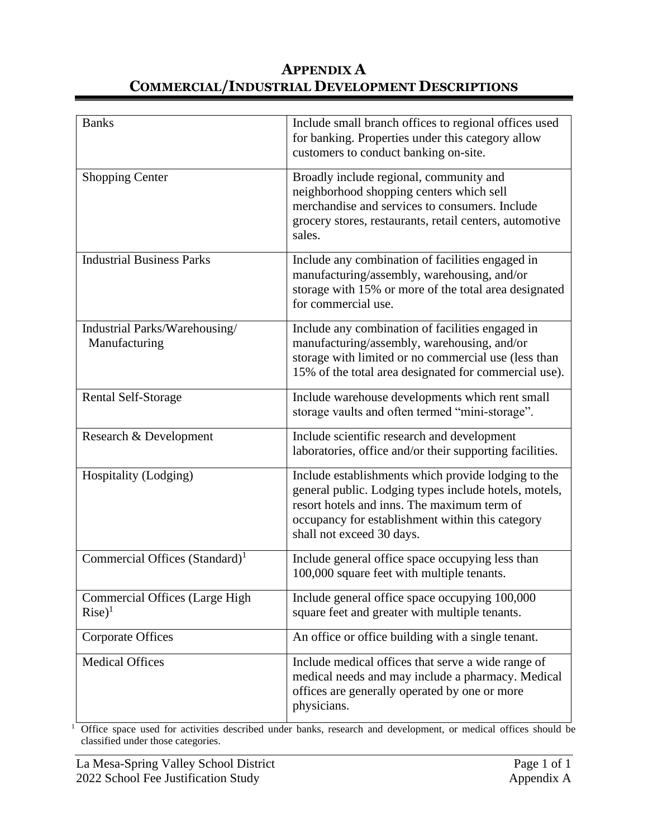## **APPENDIX A COMMERCIAL/INDUSTRIAL DEVELOPMENT DESCRIPTIONS**

| <b>Banks</b>                                       | Include small branch offices to regional offices used<br>for banking. Properties under this category allow<br>customers to conduct banking on-site.                                                                                          |
|----------------------------------------------------|----------------------------------------------------------------------------------------------------------------------------------------------------------------------------------------------------------------------------------------------|
| <b>Shopping Center</b>                             | Broadly include regional, community and<br>neighborhood shopping centers which sell<br>merchandise and services to consumers. Include<br>grocery stores, restaurants, retail centers, automotive<br>sales.                                   |
| <b>Industrial Business Parks</b>                   | Include any combination of facilities engaged in<br>manufacturing/assembly, warehousing, and/or<br>storage with 15% or more of the total area designated<br>for commercial use.                                                              |
| Industrial Parks/Warehousing/<br>Manufacturing     | Include any combination of facilities engaged in<br>manufacturing/assembly, warehousing, and/or<br>storage with limited or no commercial use (less than<br>15% of the total area designated for commercial use).                             |
| <b>Rental Self-Storage</b>                         | Include warehouse developments which rent small<br>storage vaults and often termed "mini-storage".                                                                                                                                           |
| Research & Development                             | Include scientific research and development<br>laboratories, office and/or their supporting facilities.                                                                                                                                      |
| Hospitality (Lodging)                              | Include establishments which provide lodging to the<br>general public. Lodging types include hotels, motels,<br>resort hotels and inns. The maximum term of<br>occupancy for establishment within this category<br>shall not exceed 30 days. |
| Commercial Offices (Standard) <sup>1</sup>         | Include general office space occupying less than<br>100,000 square feet with multiple tenants.                                                                                                                                               |
| <b>Commercial Offices (Large High</b><br>$Rise)^1$ | Include general office space occupying 100,000<br>square feet and greater with multiple tenants.                                                                                                                                             |
| <b>Corporate Offices</b>                           | An office or office building with a single tenant.                                                                                                                                                                                           |
| <b>Medical Offices</b>                             | Include medical offices that serve a wide range of<br>medical needs and may include a pharmacy. Medical<br>offices are generally operated by one or more<br>physicians.                                                                      |

<sup>1</sup> Office space used for activities described under banks, research and development, or medical offices should be classified under those categories.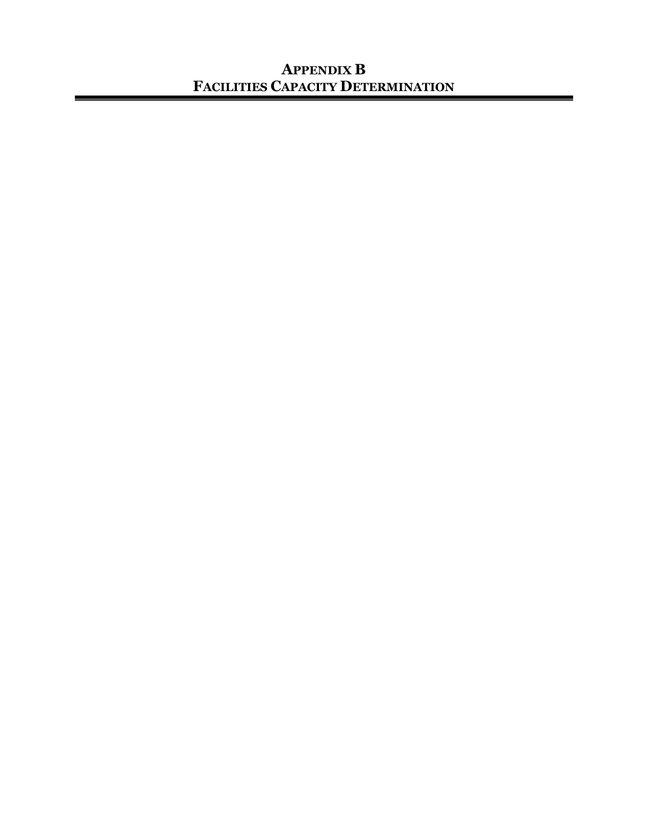## **APPENDIX B FACILITIES CAPACITY DETERMINATION**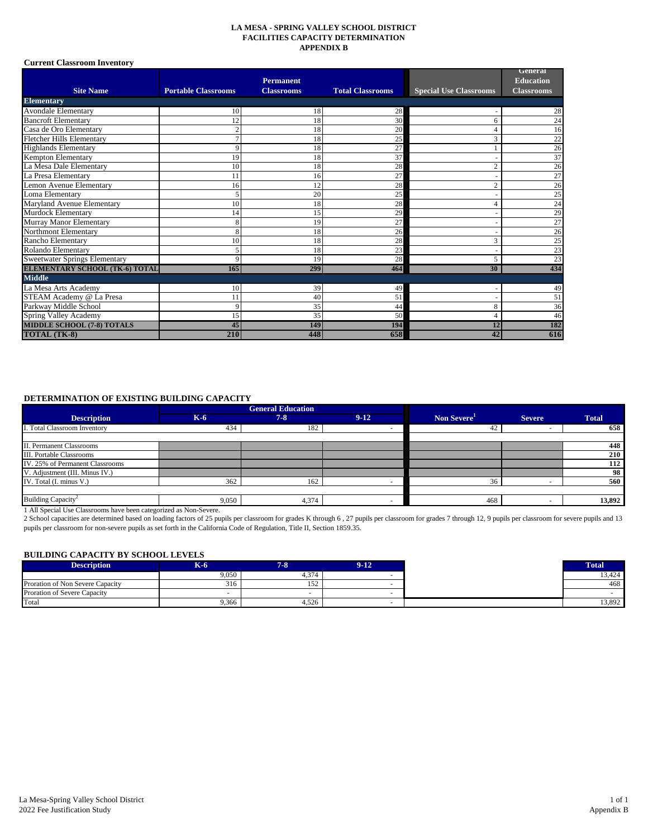#### **LA MESA - SPRING VALLEY SCHOOL DISTRICT FACILITIES CAPACITY DETERMINATION APPENDIX B**

#### **Current Classroom Inventory**

|                                       |                            |                   |                         |                               | General           |
|---------------------------------------|----------------------------|-------------------|-------------------------|-------------------------------|-------------------|
|                                       |                            | <b>Permanent</b>  |                         |                               | <b>Education</b>  |
| <b>Site Name</b>                      | <b>Portable Classrooms</b> | <b>Classrooms</b> | <b>Total Classrooms</b> | <b>Special Use Classrooms</b> | <b>Classrooms</b> |
| <b>Elementary</b>                     |                            |                   |                         |                               |                   |
| <b>Avondale Elementary</b>            | 10                         | 18                | 28                      |                               | 28                |
| <b>Bancroft Elementary</b>            | 12                         | 18                | 30                      | 6                             | 24                |
| Casa de Oro Elementary                |                            | 18                | 20                      | 4                             | 16                |
| <b>Fletcher Hills Elementary</b>      |                            | 18                | 25                      | 3                             | 22                |
| <b>Highlands Elementary</b>           | Q                          | 18                | 27                      |                               | 26                |
| <b>Kempton Elementary</b>             | 19                         | 18                | 37                      | ٠                             | 37                |
| La Mesa Dale Elementary               | 10                         | 18                | 28                      | $\overline{2}$                | 26                |
| La Presa Elementary                   | 11                         | 16                | 27                      |                               | 27                |
| Lemon Avenue Elementary               | 16                         | 12                | 28                      | $\overline{2}$                | 26                |
| Loma Elementary                       |                            | 20                | 25                      |                               | 25                |
| Maryland Avenue Elementary            | 10                         | 18                | 28                      | 4                             | 24                |
| Murdock Elementary                    | 14                         | 15                | 29                      |                               | 29                |
| Murray Manor Elementary               |                            | 19                | 27                      |                               | 27                |
| Northmont Elementary                  | $\mathbf{\mathsf{R}}$      | 18                | 26                      |                               | 26                |
| Rancho Elementary                     | 10                         | 18                | 28                      | 3                             | 25                |
| Rolando Elementary                    |                            | 18                | 23                      |                               | 23                |
| <b>Sweetwater Springs Elementary</b>  | Q                          | 19                | 28                      | 5                             | 23                |
| <b>ELEMENTARY SCHOOL (TK-6) TOTAL</b> | 165                        | 299               | 464                     | 30                            | 434               |
| <b>Middle</b>                         |                            |                   |                         |                               |                   |
| La Mesa Arts Academy                  | 10                         | 39                | 49                      |                               | 49                |
| STEAM Academy @ La Presa              | 11                         | 40                | 51                      |                               | 51                |
| Parkway Middle School                 | 9                          | 35                | 44                      | 8                             | 36                |
| Spring Valley Academy                 | 15                         | 35                | 50                      | $\overline{4}$                | 46                |
| <b>MIDDLE SCHOOL (7-8) TOTALS</b>     | 45                         | 149               | 194                     | 12                            | 182               |
| <b>TOTAL (TK-8)</b>                   | 210                        | 448               | 658                     | 42                            | 616               |

#### **DETERMINATION OF EXISTING BUILDING CAPACITY**

|                                 |       | <b>General Education</b> |        |                         |               |              |
|---------------------------------|-------|--------------------------|--------|-------------------------|---------------|--------------|
| <b>Description</b>              | $K-6$ | $7 - 8$                  | $9-12$ | Non Severe <sup>1</sup> | <b>Severe</b> | <b>Total</b> |
| I. Total Classroom Inventory    | 434   | 182                      |        | 42                      |               | 658          |
|                                 |       |                          |        |                         |               |              |
| II. Permanent Classrooms        |       |                          |        |                         |               | 448          |
| III. Portable Classrooms        |       |                          |        |                         |               | 210          |
| IV. 25% of Permanent Classrooms |       |                          |        |                         |               | 112          |
| V. Adjustment (III. Minus IV.)  |       |                          |        |                         |               | 98           |
| IV. Total (I. minus V.)         | 362   | 162                      |        | 36                      |               | 560          |
|                                 |       |                          |        |                         |               |              |
| Building Capacity <sup>2</sup>  | 9,050 | 4,374                    |        | 468                     |               | 13,892       |

1 All Special Use Classrooms have been categorized as Non-Severe.

2 School capacities are determined based on loading factors of 25 pupils per classroom for grades K through 6 , 27 pupils per classroom for grades 7 through 12, 9 pupils per classroom for severe pupils and 13 pupils per classroom for non-severe pupils as set forth in the California Code of Regulation, Title II, Section 1859.35.

#### **BUILDING CAPACITY BY SCHOOL LEVELS**

| <b>Description</b>               | $K-6$ | <b>STAR</b> | 9-12. |
|----------------------------------|-------|-------------|-------|
|                                  | 9,050 | 4,374       |       |
| Proration of Non Severe Capacity | 316   | 152         |       |
| Proration of Severe Capacity     |       |             |       |
| Total                            | 9,366 | 4,526       |       |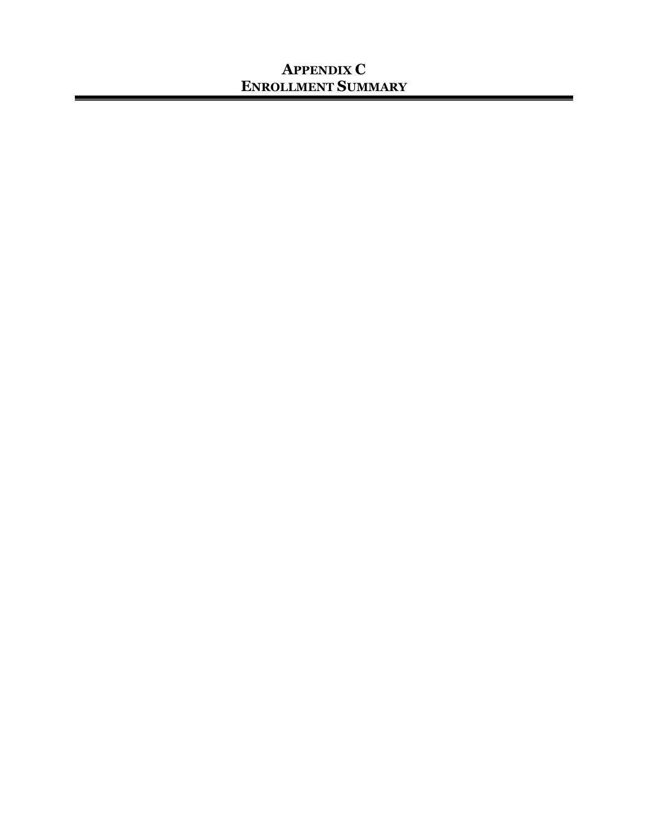## **APPENDIX C ENROLLMENT SUMMARY**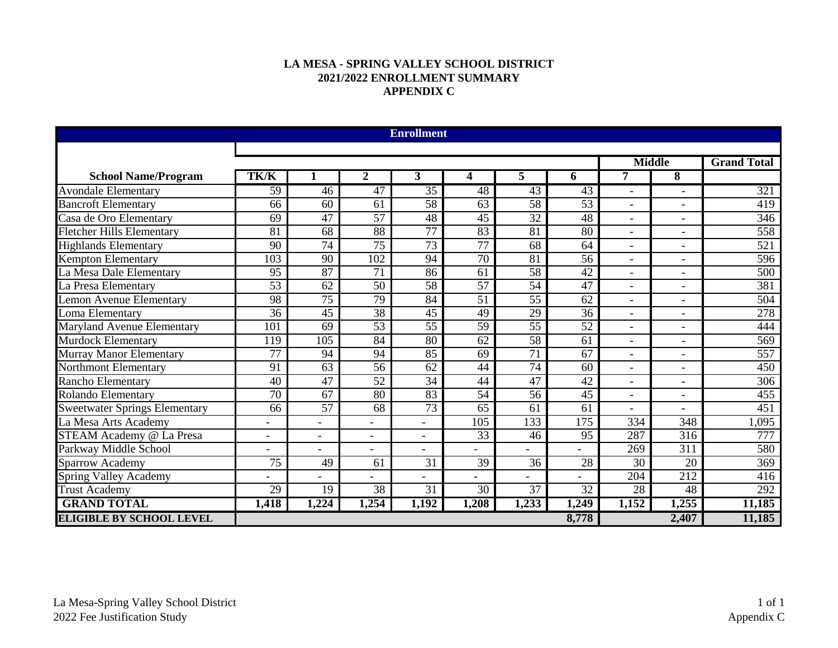#### **LA MESA - SPRING VALLEY SCHOOL DISTRICT 2021/2022 ENROLLMENT SUMMARY APPENDIX C**

|                                      |                 |                          |                  | <b>Enrollment</b> |                 |                 |                  |                              |                          |                    |
|--------------------------------------|-----------------|--------------------------|------------------|-------------------|-----------------|-----------------|------------------|------------------------------|--------------------------|--------------------|
|                                      |                 |                          |                  |                   |                 | <b>Middle</b>   |                  |                              |                          |                    |
|                                      | <b>TK/K</b>     |                          |                  |                   |                 |                 |                  | 7                            |                          | <b>Grand Total</b> |
| <b>School Name/Program</b>           |                 |                          | 2                | 3                 | 4               | 5.              | 6                |                              | 8                        |                    |
| <b>Avondale Elementary</b>           | 59              | 46                       | 47               | $\overline{35}$   | 48              | 43              | 43               | $\qquad \qquad \blacksquare$ |                          | 321                |
| <b>Bancroft Elementary</b>           | 66              | 60                       | 61               | 58                | 63              | 58              | 53               | $\overline{\phantom{0}}$     |                          | 419                |
| Casa de Oro Elementary               | 69              | 47                       | $\overline{57}$  | 48                | 45              | $\overline{32}$ | 48               | $\overline{\phantom{0}}$     |                          | $\overline{346}$   |
| <b>Fletcher Hills Elementary</b>     | $\overline{81}$ | 68                       | $\overline{88}$  | $\overline{77}$   | $\overline{83}$ | $\overline{81}$ | 80               | -                            | $\overline{\phantom{a}}$ | 558                |
| <b>Highlands Elementary</b>          | 90              | $\overline{74}$          | $\overline{75}$  | $\overline{73}$   | 77              | 68              | 64               | $\overline{\phantom{a}}$     | $\overline{\phantom{a}}$ | $\overline{521}$   |
| <b>Kempton Elementary</b>            | 103             | 90                       | $\overline{102}$ | 94                | $\overline{70}$ | 81              | 56               | $\overline{\phantom{0}}$     | $\overline{\phantom{a}}$ | 596                |
| La Mesa Dale Elementary              | 95              | 87                       | $\overline{71}$  | 86                | 61              | 58              | $\overline{42}$  | $\overline{\phantom{0}}$     | $\overline{\phantom{a}}$ | $\overline{500}$   |
| La Presa Elementary                  | $\overline{53}$ | 62                       | 50               | 58                | $\overline{57}$ | 54              | 47               |                              | $\overline{\phantom{a}}$ | 381                |
| <b>Lemon Avenue Elementary</b>       | 98              | 75                       | 79               | 84                | 51              | 55              | 62               | $\overline{a}$               | $\overline{\phantom{a}}$ | 504                |
| Loma Elementary                      | 36              | 45                       | $\overline{38}$  | 45                | 49              | 29              | 36               |                              |                          | 278                |
| <b>Maryland Avenue Elementary</b>    | 101             | 69                       | 53               | $\overline{55}$   | 59              | $\overline{55}$ | $\overline{52}$  | $\overline{\phantom{0}}$     | $\overline{\phantom{a}}$ | 444                |
| <b>Murdock Elementary</b>            | 119             | $\overline{105}$         | $\overline{84}$  | 80                | $\overline{62}$ | $\overline{58}$ | 61               | $\overline{\phantom{0}}$     |                          | 569                |
| <b>Murray Manor Elementary</b>       | $\overline{77}$ | 94                       | 94               | 85                | 69              | 71              | $\overline{67}$  | $\overline{\phantom{0}}$     |                          | 557                |
| <b>Northmont Elementary</b>          | 91              | 63                       | $\overline{56}$  | 62                | 44              | $\overline{74}$ | 60               | $\overline{\phantom{0}}$     |                          | 450                |
| <b>Rancho Elementary</b>             | 40              | 47                       | $\overline{52}$  | $\overline{34}$   | 44              | $\overline{47}$ | 42               | $\overline{\phantom{0}}$     |                          | $\overline{306}$   |
| Rolando Elementary                   | 70              | 67                       | $\overline{80}$  | $\overline{83}$   | $\overline{54}$ | 56              | 45               | $\overline{\phantom{0}}$     |                          | 455                |
| <b>Sweetwater Springs Elementary</b> | 66              | $\overline{57}$          | 68               | $\overline{73}$   | 65              | 61              | 61               | $\overline{\phantom{0}}$     |                          | $\overline{451}$   |
| La Mesa Arts Academy                 |                 |                          |                  |                   | 105             | 133             | $\overline{175}$ | 334                          | 348                      | 1,095              |
| STEAM Academy @ La Presa             |                 | $\overline{\phantom{a}}$ | $\overline{a}$   | ۰                 | $\overline{33}$ | 46              | 95               | 287                          | $\overline{316}$         | 777                |
| Parkway Middle School                |                 | $\overline{a}$           | ۳                |                   |                 |                 |                  | 269                          | 311                      | 580                |
| Sparrow Academy                      | 75              | 49                       | 61               | 31                | 39              | 36              | 28               | 30                           | 20                       | 369                |
| <b>Spring Valley Academy</b>         |                 |                          |                  |                   |                 |                 |                  | 204                          | 212                      | 416                |
| <b>Trust Academy</b>                 | 29              | $\overline{19}$          | 38               | $\overline{31}$   | 30              | 37              | 32               | 28                           | 48                       | 292                |
| <b>GRAND TOTAL</b>                   | 1,418           | 1,224                    | 1,254            | 1,192             | 1,208           | 1,233           | 1,249            | 1,152                        | 1,255                    | 11,185             |
| <b>ELIGIBLE BY SCHOOL LEVEL</b>      |                 |                          |                  |                   |                 |                 | 8,778            |                              | 2,407                    | 11,185             |